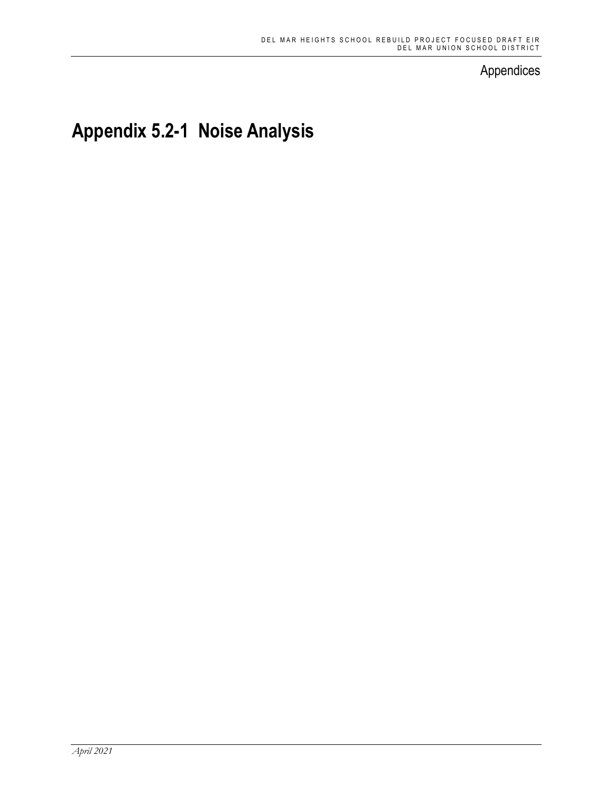## Appendices

# **Appendix 5.2-1 Noise Analysis**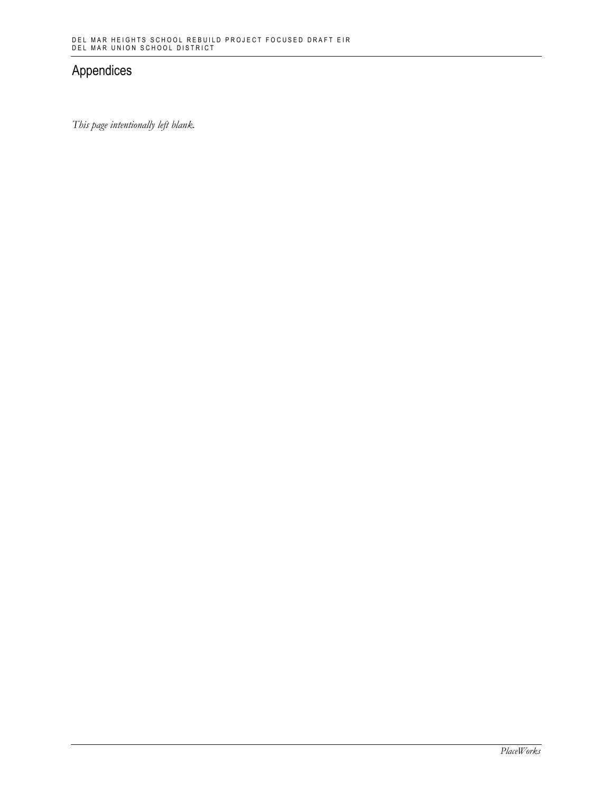## Appendices

*This page intentionally left blank.*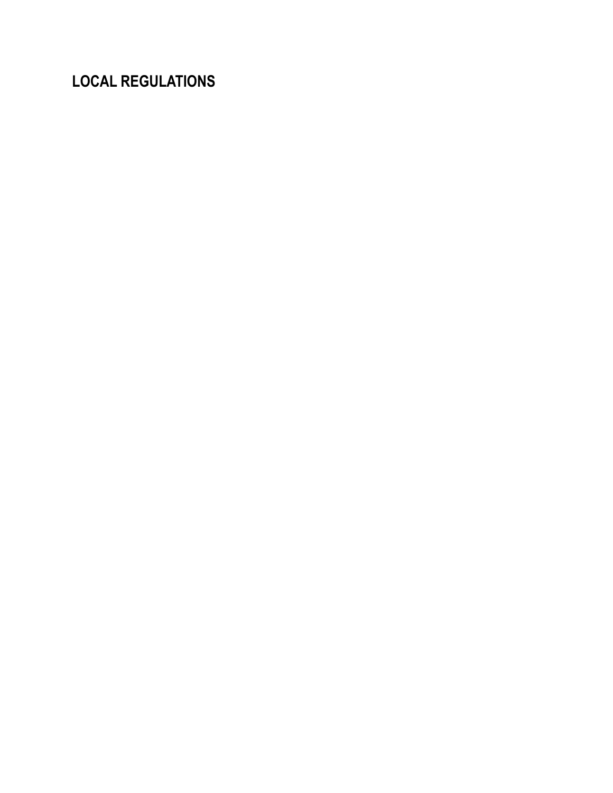**LOCAL REGULATIONS**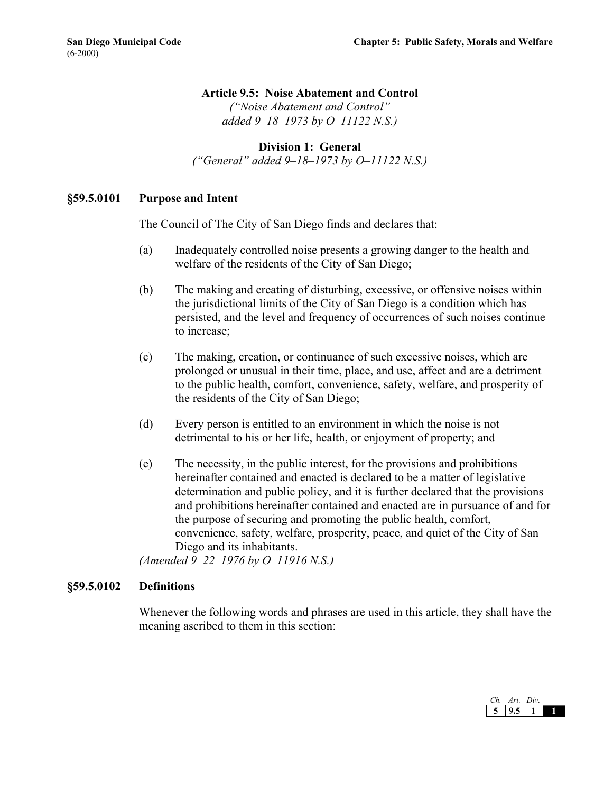*("Noise Abatement and Control" added 9–18–1973 by O–11122 N.S.)* 

**Division 1: General**  *("General" added 9–18–1973 by O–11122 N.S.)* 

## **§59.5.0101 Purpose and Intent**

The Council of The City of San Diego finds and declares that:

- (a) Inadequately controlled noise presents a growing danger to the health and welfare of the residents of the City of San Diego;
- (b) The making and creating of disturbing, excessive, or offensive noises within the jurisdictional limits of the City of San Diego is a condition which has persisted, and the level and frequency of occurrences of such noises continue to increase;
- (c) The making, creation, or continuance of such excessive noises, which are prolonged or unusual in their time, place, and use, affect and are a detriment to the public health, comfort, convenience, safety, welfare, and prosperity of the residents of the City of San Diego;
- (d) Every person is entitled to an environment in which the noise is not detrimental to his or her life, health, or enjoyment of property; and
- (e) The necessity, in the public interest, for the provisions and prohibitions hereinafter contained and enacted is declared to be a matter of legislative determination and public policy, and it is further declared that the provisions and prohibitions hereinafter contained and enacted are in pursuance of and for the purpose of securing and promoting the public health, comfort, convenience, safety, welfare, prosperity, peace, and quiet of the City of San Diego and its inhabitants.

*(Amended 9–22–1976 by O–11916 N.S.)* 

## **§59.5.0102 Definitions**

Whenever the following words and phrases are used in this article, they shall have the meaning ascribed to them in this section:

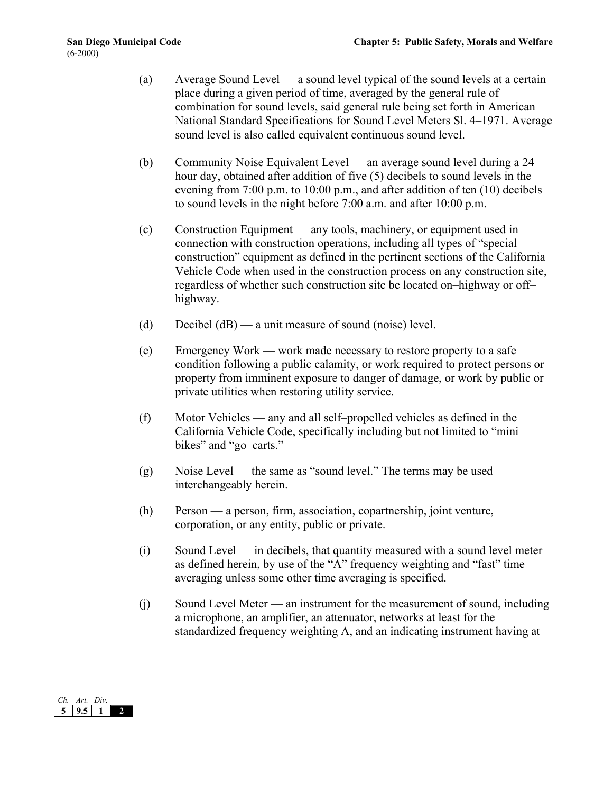- (a) Average Sound Level a sound level typical of the sound levels at a certain place during a given period of time, averaged by the general rule of combination for sound levels, said general rule being set forth in American National Standard Specifications for Sound Level Meters Sl. 4–1971. Average sound level is also called equivalent continuous sound level.
- (b) Community Noise Equivalent Level an average sound level during a 24– hour day, obtained after addition of five (5) decibels to sound levels in the evening from 7:00 p.m. to 10:00 p.m., and after addition of ten (10) decibels to sound levels in the night before 7:00 a.m. and after 10:00 p.m.
- (c) Construction Equipment any tools, machinery, or equipment used in connection with construction operations, including all types of "special construction" equipment as defined in the pertinent sections of the California Vehicle Code when used in the construction process on any construction site, regardless of whether such construction site be located on–highway or off– highway.
- (d) Decibel (dB) a unit measure of sound (noise) level.
- (e) Emergency Work work made necessary to restore property to a safe condition following a public calamity, or work required to protect persons or property from imminent exposure to danger of damage, or work by public or private utilities when restoring utility service.
- (f) Motor Vehicles any and all self–propelled vehicles as defined in the California Vehicle Code, specifically including but not limited to "mini– bikes" and "go–carts."
- (g) Noise Level the same as "sound level." The terms may be used interchangeably herein.
- (h) Person a person, firm, association, copartnership, joint venture, corporation, or any entity, public or private.
- (i) Sound Level in decibels, that quantity measured with a sound level meter as defined herein, by use of the "A" frequency weighting and "fast" time averaging unless some other time averaging is specified.
- (j) Sound Level Meter an instrument for the measurement of sound, including a microphone, an amplifier, an attenuator, networks at least for the standardized frequency weighting A, and an indicating instrument having at

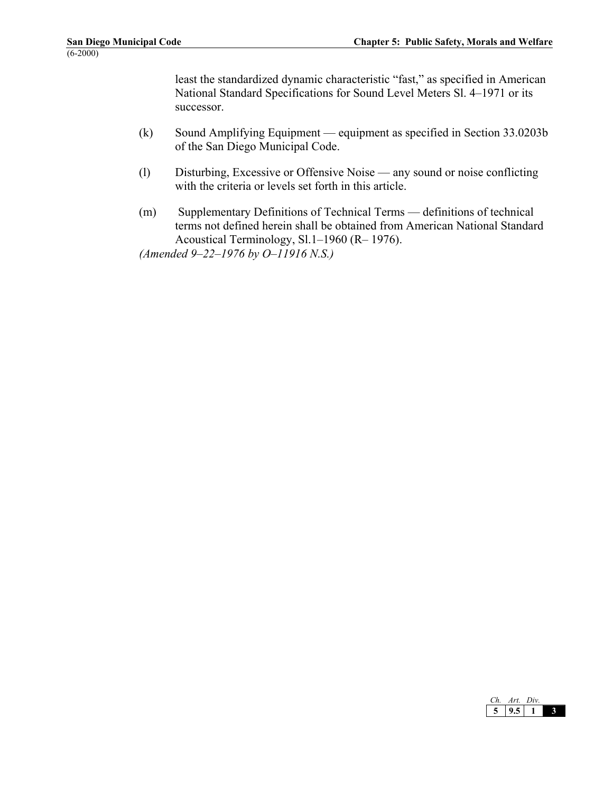least the standardized dynamic characteristic "fast," as specified in American National Standard Specifications for Sound Level Meters Sl. 4–1971 or its successor.

- (k) Sound Amplifying Equipment equipment as specified in Section 33.0203b of the San Diego Municipal Code.
- (l) Disturbing, Excessive or Offensive Noise any sound or noise conflicting with the criteria or levels set forth in this article.
- (m) Supplementary Definitions of Technical Terms definitions of technical terms not defined herein shall be obtained from American National Standard Acoustical Terminology, Sl.1–1960 (R– 1976).

*(Amended 9–22–1976 by O–11916 N.S.)* 

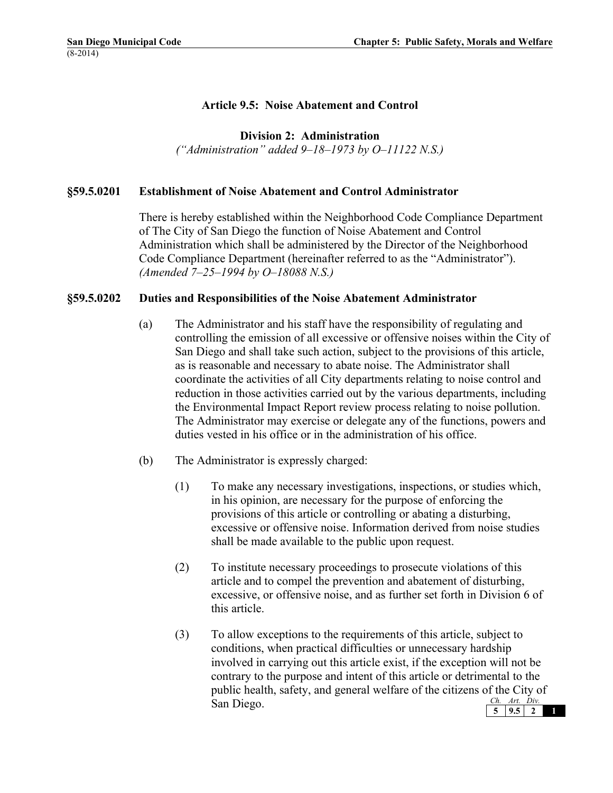**Division 2: Administration**

*("Administration" added 9–18–1973 by O–11122 N.S.)*

## **§59.5.0201 Establishment of Noise Abatement and Control Administrator**

There is hereby established within the Neighborhood Code Compliance Department of The City of San Diego the function of Noise Abatement and Control Administration which shall be administered by the Director of the Neighborhood Code Compliance Department (hereinafter referred to as the "Administrator"). *(Amended 7–25–1994 by O–18088 N.S.)*

## **§59.5.0202 Duties and Responsibilities of the Noise Abatement Administrator**

- (a) The Administrator and his staff have the responsibility of regulating and controlling the emission of all excessive or offensive noises within the City of San Diego and shall take such action, subject to the provisions of this article, as is reasonable and necessary to abate noise. The Administrator shall coordinate the activities of all City departments relating to noise control and reduction in those activities carried out by the various departments, including the Environmental Impact Report review process relating to noise pollution. The Administrator may exercise or delegate any of the functions, powers and duties vested in his office or in the administration of his office.
- (b) The Administrator is expressly charged:
	- (1) To make any necessary investigations, inspections, or studies which, in his opinion, are necessary for the purpose of enforcing the provisions of this article or controlling or abating a disturbing, excessive or offensive noise. Information derived from noise studies shall be made available to the public upon request.
	- (2) To institute necessary proceedings to prosecute violations of this article and to compel the prevention and abatement of disturbing, excessive, or offensive noise, and as further set forth in Division 6 of this article.
	- *Ch. Art. Div.* **5 9.5 2 1** (3) To allow exceptions to the requirements of this article, subject to conditions, when practical difficulties or unnecessary hardship involved in carrying out this article exist, if the exception will not be contrary to the purpose and intent of this article or detrimental to the public health, safety, and general welfare of the citizens of the City of San Diego.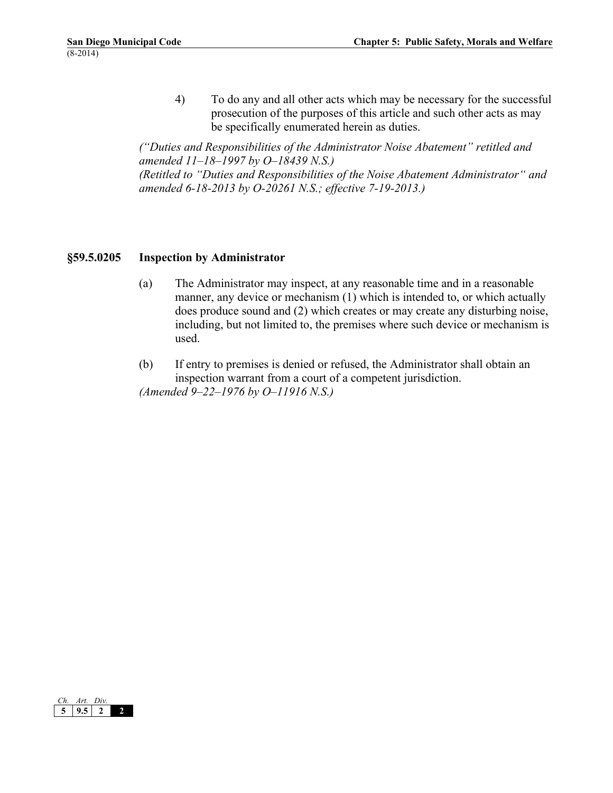4) To do any and all other acts which may be necessary for the successful prosecution of the purposes of this article and such other acts as may be specifically enumerated herein as duties.

*("Duties and Responsibilities of the Administrator Noise Abatement" retitled and amended 11–18–1997 by O–18439 N.S.) (Retitled to "Duties and Responsibilities of the Noise Abatement Administrator" and amended 6-18-2013 by O-20261 N.S.; effective 7-19-2013.)*

## **§59.5.0205 Inspection by Administrator**

- (a) The Administrator may inspect, at any reasonable time and in a reasonable manner, any device or mechanism (1) which is intended to, or which actually does produce sound and (2) which creates or may create any disturbing noise, including, but not limited to, the premises where such device or mechanism is used.
- (b) If entry to premises is denied or refused, the Administrator shall obtain an inspection warrant from a court of a competent jurisdiction. *(Amended 9–22–1976 by O–11916 N.S.)*

*Ch. Art. Div.* **5 9.5 2 2**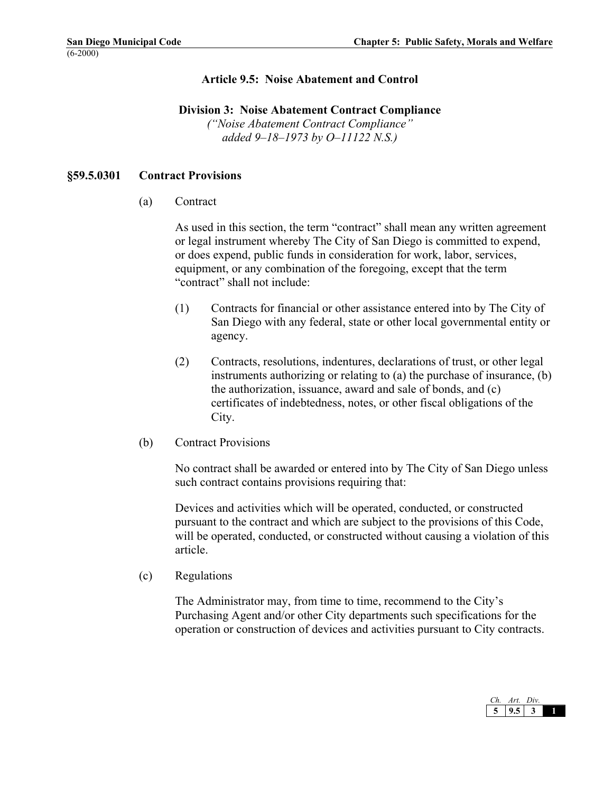## **Division 3: Noise Abatement Contract Compliance**

*("Noise Abatement Contract Compliance" added 9–18–1973 by O–11122 N.S.)* 

#### **§59.5.0301 Contract Provisions**

(a) Contract

As used in this section, the term "contract" shall mean any written agreement or legal instrument whereby The City of San Diego is committed to expend, or does expend, public funds in consideration for work, labor, services, equipment, or any combination of the foregoing, except that the term "contract" shall not include:

- (1) Contracts for financial or other assistance entered into by The City of San Diego with any federal, state or other local governmental entity or agency.
- (2) Contracts, resolutions, indentures, declarations of trust, or other legal instruments authorizing or relating to (a) the purchase of insurance, (b) the authorization, issuance, award and sale of bonds, and (c) certificates of indebtedness, notes, or other fiscal obligations of the City.
- (b) Contract Provisions

No contract shall be awarded or entered into by The City of San Diego unless such contract contains provisions requiring that:

Devices and activities which will be operated, conducted, or constructed pursuant to the contract and which are subject to the provisions of this Code, will be operated, conducted, or constructed without causing a violation of this article.

(c) Regulations

The Administrator may, from time to time, recommend to the City's Purchasing Agent and/or other City departments such specifications for the operation or construction of devices and activities pursuant to City contracts.

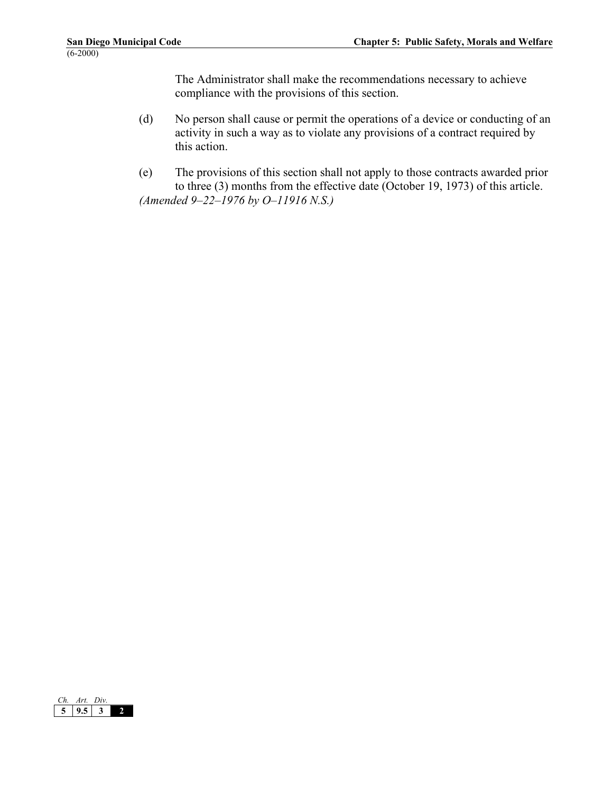The Administrator shall make the recommendations necessary to achieve compliance with the provisions of this section.

- (d) No person shall cause or permit the operations of a device or conducting of an activity in such a way as to violate any provisions of a contract required by this action.
- (e) The provisions of this section shall not apply to those contracts awarded prior to three (3) months from the effective date (October 19, 1973) of this article. *(Amended 9–22–1976 by O–11916 N.S.)*

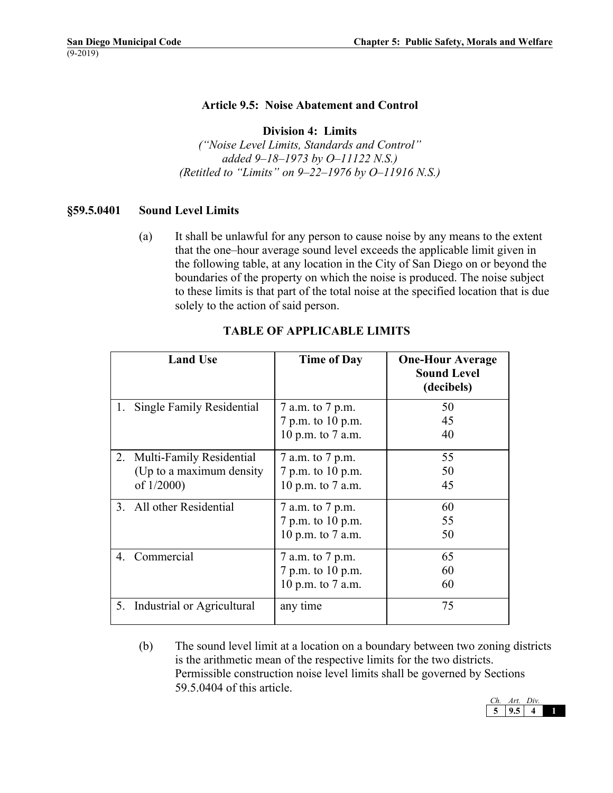### **Division 4: Limits**

*("Noise Level Limits, Standards and Control" added 9–18–1973 by O–11122 N.S.) (Retitled to "Limits" on 9–22–1976 by O–11916 N.S.)*

#### **§59.5.0401 Sound Level Limits**

(a) It shall be unlawful for any person to cause noise by any means to the extent that the one–hour average sound level exceeds the applicable limit given in the following table, at any location in the City of San Diego on or beyond the boundaries of the property on which the noise is produced. The noise subject to these limits is that part of the total noise at the specified location that is due solely to the action of said person.

|    | <b>Land Use</b>            | <b>Time of Day</b> | <b>One-Hour Average</b><br><b>Sound Level</b><br>(decibels) |
|----|----------------------------|--------------------|-------------------------------------------------------------|
| 1. | Single Family Residential  | 7 a.m. to 7 p.m.   | 50                                                          |
|    |                            | 7 p.m. to 10 p.m.  | 45                                                          |
|    |                            | 10 p.m. to 7 a.m.  | 40                                                          |
| 2. | Multi-Family Residential   | 7 a.m. to 7 p.m.   | 55                                                          |
|    | (Up to a maximum density)  | 7 p.m. to 10 p.m.  | 50                                                          |
|    | of 1/2000)                 | 10 p.m. to 7 a.m.  | 45                                                          |
|    | 3. All other Residential   | 7 a.m. to 7 p.m.   | 60                                                          |
|    |                            | 7 p.m. to 10 p.m.  | 55                                                          |
|    |                            | 10 p.m. to 7 a.m.  | 50                                                          |
|    | 4. Commercial              | 7 a.m. to 7 p.m.   | 65                                                          |
|    |                            | 7 p.m. to 10 p.m.  | 60                                                          |
|    |                            | 10 p.m. to 7 a.m.  | 60                                                          |
| 5. | Industrial or Agricultural | any time           | 75                                                          |

#### **TABLE OF APPLICABLE LIMITS**

(b) The sound level limit at a location on a boundary between two zoning districts is the arithmetic mean of the respective limits for the two districts. Permissible construction noise level limits shall be governed by Sections 59.5.0404 of this article.

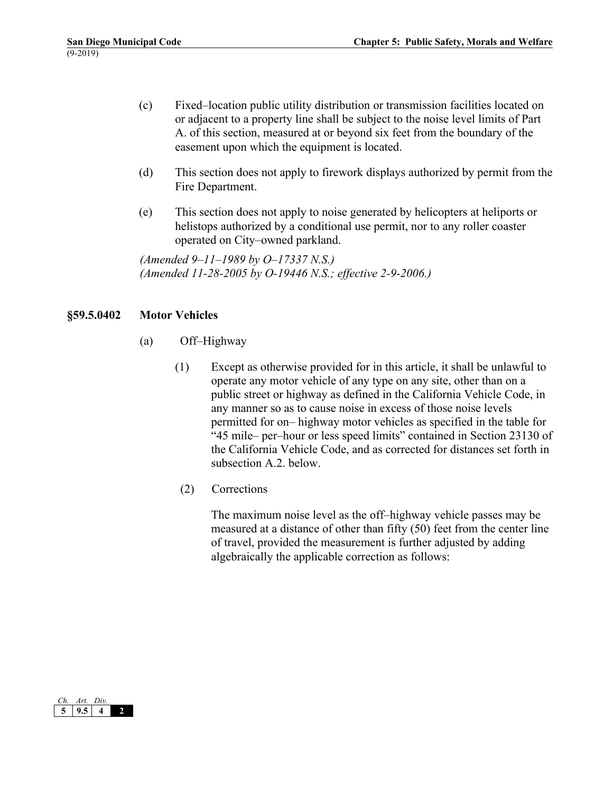- (c) Fixed–location public utility distribution or transmission facilities located on or adjacent to a property line shall be subject to the noise level limits of Part A. of this section, measured at or beyond six feet from the boundary of the easement upon which the equipment is located.
- (d) This section does not apply to firework displays authorized by permit from the Fire Department.
- (e) This section does not apply to noise generated by helicopters at heliports or helistops authorized by a conditional use permit, nor to any roller coaster operated on City–owned parkland.

*(Amended 9–11–1989 by O–17337 N.S.) (Amended 11-28-2005 by O-19446 N.S.; effective 2-9-2006.)*

## **§59.5.0402 Motor Vehicles**

- (a) Off–Highway
	- (1) Except as otherwise provided for in this article, it shall be unlawful to operate any motor vehicle of any type on any site, other than on a public street or highway as defined in the California Vehicle Code, in any manner so as to cause noise in excess of those noise levels permitted for on– highway motor vehicles as specified in the table for "45 mile– per–hour or less speed limits" contained in Section 23130 of the California Vehicle Code, and as corrected for distances set forth in subsection A.2. below.
	- (2) Corrections

The maximum noise level as the off–highway vehicle passes may be measured at a distance of other than fifty (50) feet from the center line of travel, provided the measurement is further adjusted by adding algebraically the applicable correction as follows:

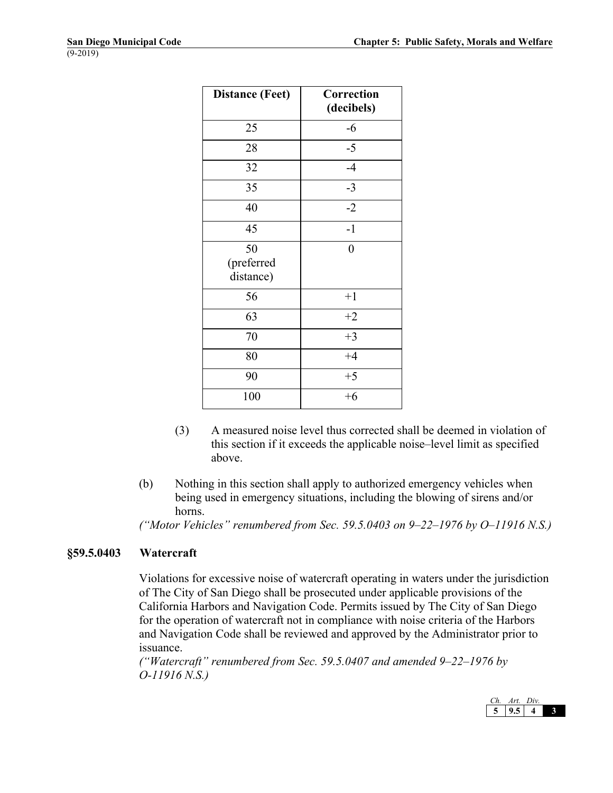| <b>Distance (Feet)</b>        | Correction<br>(decibels) |
|-------------------------------|--------------------------|
| 25                            | $-6$                     |
| 28                            | $-5$                     |
| 32                            | $-4$                     |
| 35                            | $-3$                     |
| 40                            | $-2$                     |
| 45                            | $-1$                     |
| 50<br>(preferred<br>distance) | $\overline{0}$           |
| 56                            | $+1$                     |
| 63                            | $+2$                     |
| 70                            | $+3$                     |
| 80                            | $+4$                     |
| 90                            | $+5$                     |
| 100                           | $+6$                     |

- (3) A measured noise level thus corrected shall be deemed in violation of this section if it exceeds the applicable noise–level limit as specified above.
- (b) Nothing in this section shall apply to authorized emergency vehicles when being used in emergency situations, including the blowing of sirens and/or horns.

*("Motor Vehicles" renumbered from Sec. 59.5.0403 on 9–22–1976 by O–11916 N.S.)*

## **§59.5.0403 Watercraft**

Violations for excessive noise of watercraft operating in waters under the jurisdiction of The City of San Diego shall be prosecuted under applicable provisions of the California Harbors and Navigation Code. Permits issued by The City of San Diego for the operation of watercraft not in compliance with noise criteria of the Harbors and Navigation Code shall be reviewed and approved by the Administrator prior to issuance.

*("Watercraft" renumbered from Sec. 59.5.0407 and amended 9–22–1976 by O-11916 N.S.)*

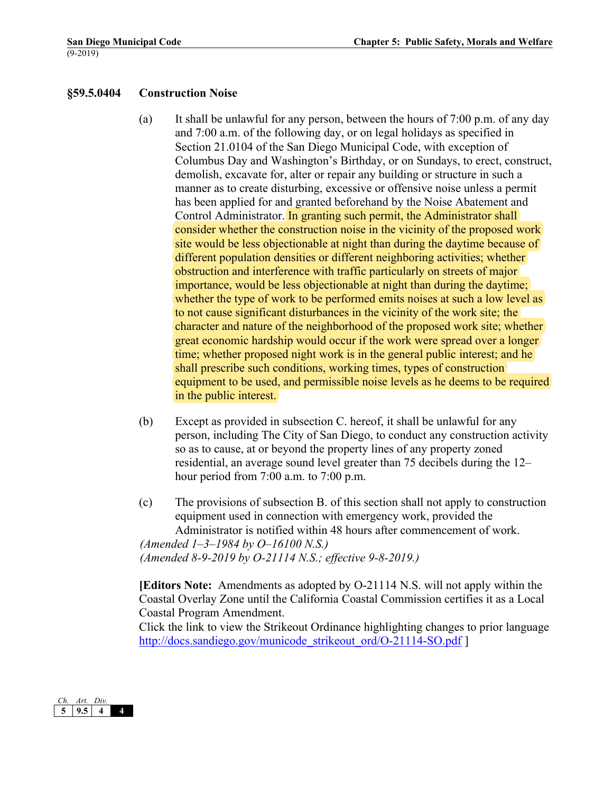## **§59.5.0404 Construction Noise**

- (a) It shall be unlawful for any person, between the hours of 7:00 p.m. of any day and 7:00 a.m. of the following day, or on legal holidays as specified in Section 21.0104 of the San Diego Municipal Code, with exception of Columbus Day and Washington's Birthday, or on Sundays, to erect, construct, demolish, excavate for, alter or repair any building or structure in such a manner as to create disturbing, excessive or offensive noise unless a permit has been applied for and granted beforehand by the Noise Abatement and Control Administrator. In granting such permit, the Administrator shall consider whether the construction noise in the vicinity of the proposed work site would be less objectionable at night than during the daytime because of different population densities or different neighboring activities; whether obstruction and interference with traffic particularly on streets of major importance, would be less objectionable at night than during the daytime; whether the type of work to be performed emits noises at such a low level as to not cause significant disturbances in the vicinity of the work site; the character and nature of the neighborhood of the proposed work site; whether great economic hardship would occur if the work were spread over a longer time; whether proposed night work is in the general public interest; and he shall prescribe such conditions, working times, types of construction equipment to be used, and permissible noise levels as he deems to be required in the public interest.
- (b) Except as provided in subsection C. hereof, it shall be unlawful for any person, including The City of San Diego, to conduct any construction activity so as to cause, at or beyond the property lines of any property zoned residential, an average sound level greater than 75 decibels during the 12– hour period from 7:00 a.m. to 7:00 p.m.
- (c) The provisions of subsection B. of this section shall not apply to construction equipment used in connection with emergency work, provided the Administrator is notified within 48 hours after commencement of work.

*(Amended 1–3–1984 by O–16100 N.S.) (Amended 8-9-2019 by O-21114 N.S.; effective 9-8-2019.)*

**[Editors Note:** Amendments as adopted by O-21114 N.S. will not apply within the Coastal Overlay Zone until the California Coastal Commission certifies it as a Local Coastal Program Amendment.

Click the link to view the Strikeout Ordinance highlighting changes to prior language http://docs.sandiego.gov/municode\_strikeout\_ord/O-21114-SO.pdf ]

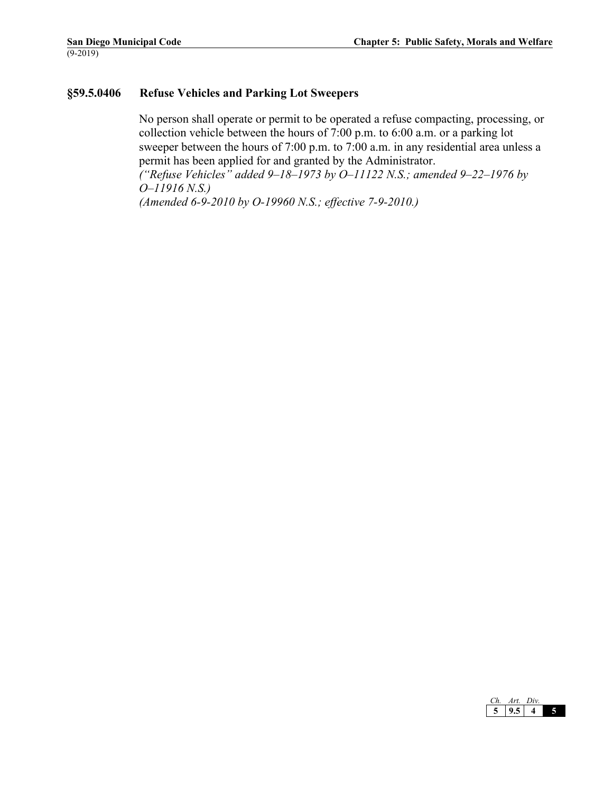## **§59.5.0406 Refuse Vehicles and Parking Lot Sweepers**

No person shall operate or permit to be operated a refuse compacting, processing, or collection vehicle between the hours of 7:00 p.m. to 6:00 a.m. or a parking lot sweeper between the hours of 7:00 p.m. to 7:00 a.m. in any residential area unless a permit has been applied for and granted by the Administrator.

*("Refuse Vehicles" added 9–18–1973 by O–11122 N.S.; amended 9–22–1976 by O–11916 N.S.)*

*(Amended 6-9-2010 by O-19960 N.S.; effective 7-9-2010.)*

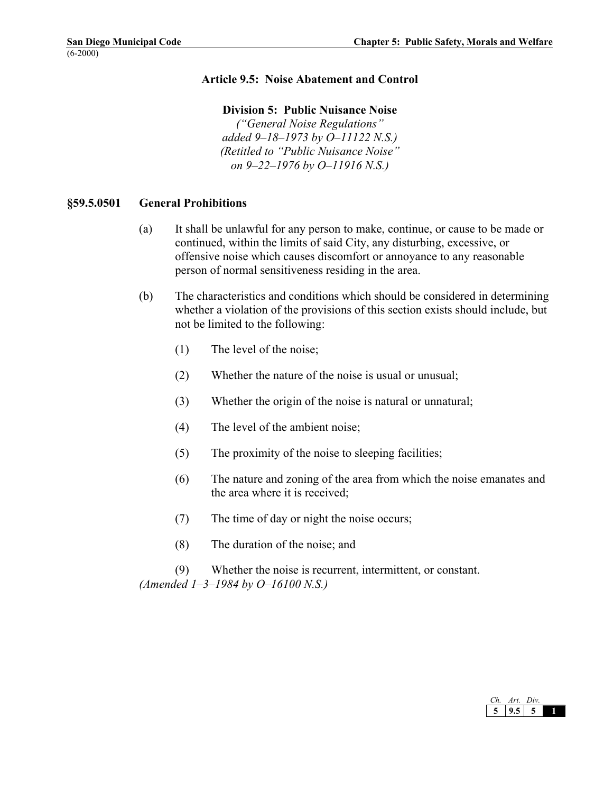## **Division 5: Public Nuisance Noise**

*("General Noise Regulations" added 9–18–1973 by O–11122 N.S.) (Retitled to "Public Nuisance Noise" on 9–22–1976 by O–11916 N.S.)* 

## **§59.5.0501 General Prohibitions**

- (a) It shall be unlawful for any person to make, continue, or cause to be made or continued, within the limits of said City, any disturbing, excessive, or offensive noise which causes discomfort or annoyance to any reasonable person of normal sensitiveness residing in the area.
- (b) The characteristics and conditions which should be considered in determining whether a violation of the provisions of this section exists should include, but not be limited to the following:
	- (1) The level of the noise;
	- (2) Whether the nature of the noise is usual or unusual;
	- (3) Whether the origin of the noise is natural or unnatural;
	- (4) The level of the ambient noise;
	- (5) The proximity of the noise to sleeping facilities;
	- (6) The nature and zoning of the area from which the noise emanates and the area where it is received;
	- (7) The time of day or night the noise occurs;
	- (8) The duration of the noise; and

(9) Whether the noise is recurrent, intermittent, or constant. *(Amended 1–3–1984 by O–16100 N.S.)* 

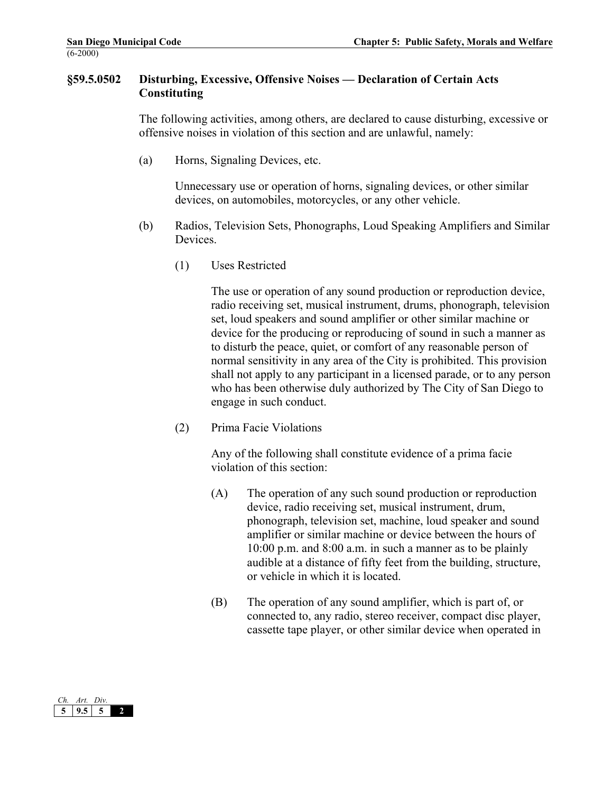## **§59.5.0502 Disturbing, Excessive, Offensive Noises — Declaration of Certain Acts Constituting**

The following activities, among others, are declared to cause disturbing, excessive or offensive noises in violation of this section and are unlawful, namely:

(a) Horns, Signaling Devices, etc.

Unnecessary use or operation of horns, signaling devices, or other similar devices, on automobiles, motorcycles, or any other vehicle.

- (b) Radios, Television Sets, Phonographs, Loud Speaking Amplifiers and Similar **Devices** 
	- (1) Uses Restricted

The use or operation of any sound production or reproduction device, radio receiving set, musical instrument, drums, phonograph, television set, loud speakers and sound amplifier or other similar machine or device for the producing or reproducing of sound in such a manner as to disturb the peace, quiet, or comfort of any reasonable person of normal sensitivity in any area of the City is prohibited. This provision shall not apply to any participant in a licensed parade, or to any person who has been otherwise duly authorized by The City of San Diego to engage in such conduct.

(2) Prima Facie Violations

Any of the following shall constitute evidence of a prima facie violation of this section:

- (A) The operation of any such sound production or reproduction device, radio receiving set, musical instrument, drum, phonograph, television set, machine, loud speaker and sound amplifier or similar machine or device between the hours of 10:00 p.m. and 8:00 a.m. in such a manner as to be plainly audible at a distance of fifty feet from the building, structure, or vehicle in which it is located.
- (B) The operation of any sound amplifier, which is part of, or connected to, any radio, stereo receiver, compact disc player, cassette tape player, or other similar device when operated in

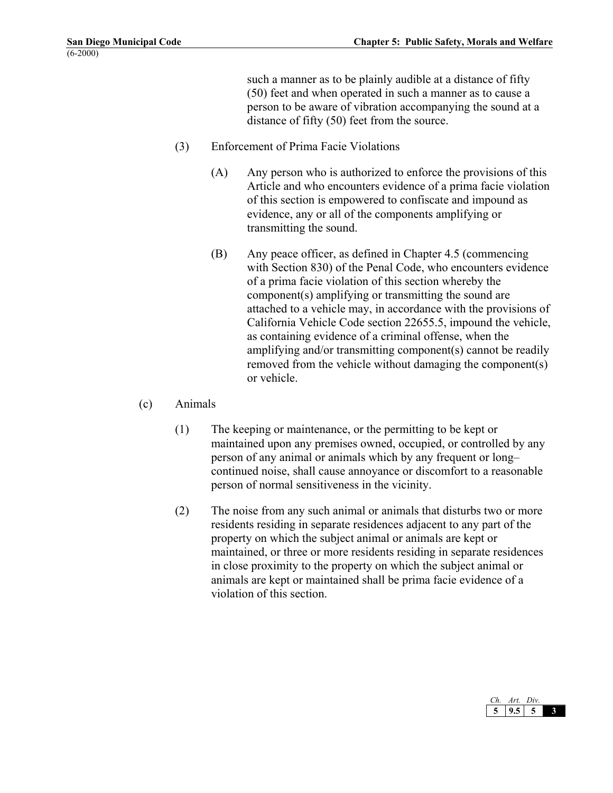such a manner as to be plainly audible at a distance of fifty (50) feet and when operated in such a manner as to cause a person to be aware of vibration accompanying the sound at a distance of fifty (50) feet from the source.

- (3) Enforcement of Prima Facie Violations
	- (A) Any person who is authorized to enforce the provisions of this Article and who encounters evidence of a prima facie violation of this section is empowered to confiscate and impound as evidence, any or all of the components amplifying or transmitting the sound.
	- (B) Any peace officer, as defined in Chapter 4.5 (commencing with Section 830) of the Penal Code, who encounters evidence of a prima facie violation of this section whereby the component(s) amplifying or transmitting the sound are attached to a vehicle may, in accordance with the provisions of California Vehicle Code section 22655.5, impound the vehicle, as containing evidence of a criminal offense, when the amplifying and/or transmitting component(s) cannot be readily removed from the vehicle without damaging the component(s) or vehicle.
- (c) Animals
	- (1) The keeping or maintenance, or the permitting to be kept or maintained upon any premises owned, occupied, or controlled by any person of any animal or animals which by any frequent or long– continued noise, shall cause annoyance or discomfort to a reasonable person of normal sensitiveness in the vicinity.
	- (2) The noise from any such animal or animals that disturbs two or more residents residing in separate residences adjacent to any part of the property on which the subject animal or animals are kept or maintained, or three or more residents residing in separate residences in close proximity to the property on which the subject animal or animals are kept or maintained shall be prima facie evidence of a violation of this section.

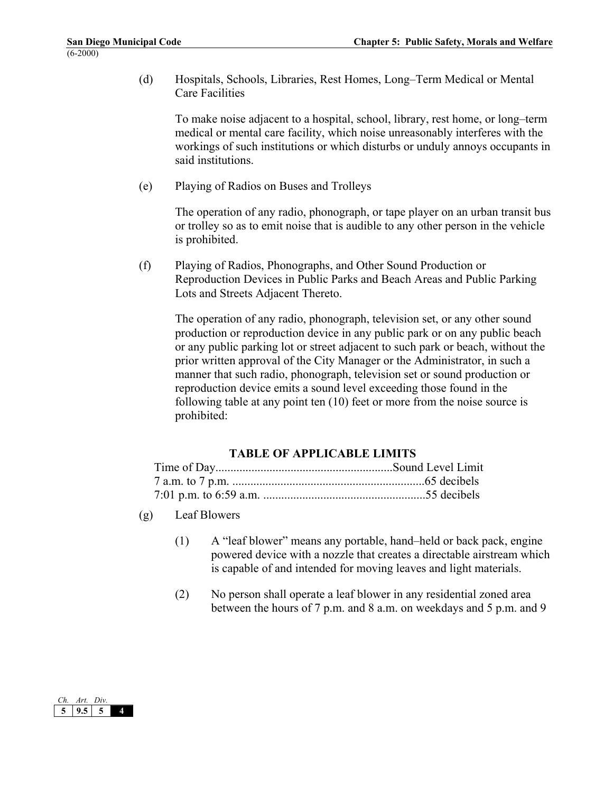(d) Hospitals, Schools, Libraries, Rest Homes, Long–Term Medical or Mental Care Facilities

To make noise adjacent to a hospital, school, library, rest home, or long–term medical or mental care facility, which noise unreasonably interferes with the workings of such institutions or which disturbs or unduly annoys occupants in said institutions.

(e) Playing of Radios on Buses and Trolleys

The operation of any radio, phonograph, or tape player on an urban transit bus or trolley so as to emit noise that is audible to any other person in the vehicle is prohibited.

(f) Playing of Radios, Phonographs, and Other Sound Production or Reproduction Devices in Public Parks and Beach Areas and Public Parking Lots and Streets Adjacent Thereto.

The operation of any radio, phonograph, television set, or any other sound production or reproduction device in any public park or on any public beach or any public parking lot or street adjacent to such park or beach, without the prior written approval of the City Manager or the Administrator, in such a manner that such radio, phonograph, television set or sound production or reproduction device emits a sound level exceeding those found in the following table at any point ten (10) feet or more from the noise source is prohibited:

## **TABLE OF APPLICABLE LIMITS**

- (g) Leaf Blowers
	- (1) A "leaf blower" means any portable, hand–held or back pack, engine powered device with a nozzle that creates a directable airstream which is capable of and intended for moving leaves and light materials.
	- (2) No person shall operate a leaf blower in any residential zoned area between the hours of 7 p.m. and 8 a.m. on weekdays and 5 p.m. and 9

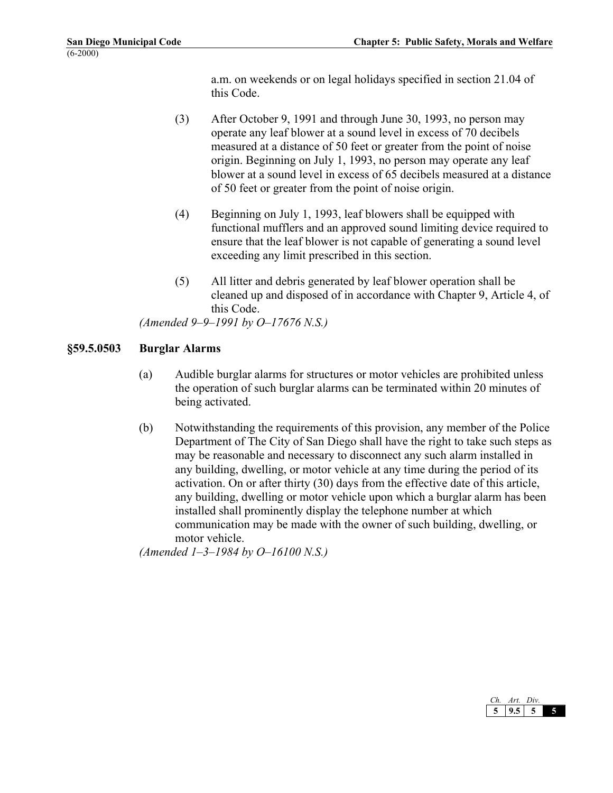a.m. on weekends or on legal holidays specified in section 21.04 of this Code.

- (3) After October 9, 1991 and through June 30, 1993, no person may operate any leaf blower at a sound level in excess of 70 decibels measured at a distance of 50 feet or greater from the point of noise origin. Beginning on July 1, 1993, no person may operate any leaf blower at a sound level in excess of 65 decibels measured at a distance of 50 feet or greater from the point of noise origin.
- (4) Beginning on July 1, 1993, leaf blowers shall be equipped with functional mufflers and an approved sound limiting device required to ensure that the leaf blower is not capable of generating a sound level exceeding any limit prescribed in this section.
- (5) All litter and debris generated by leaf blower operation shall be cleaned up and disposed of in accordance with Chapter 9, Article 4, of this Code.

*(Amended 9–9–1991 by O–17676 N.S.)* 

## **§59.5.0503 Burglar Alarms**

- (a) Audible burglar alarms for structures or motor vehicles are prohibited unless the operation of such burglar alarms can be terminated within 20 minutes of being activated.
- (b) Notwithstanding the requirements of this provision, any member of the Police Department of The City of San Diego shall have the right to take such steps as may be reasonable and necessary to disconnect any such alarm installed in any building, dwelling, or motor vehicle at any time during the period of its activation. On or after thirty (30) days from the effective date of this article, any building, dwelling or motor vehicle upon which a burglar alarm has been installed shall prominently display the telephone number at which communication may be made with the owner of such building, dwelling, or motor vehicle.

*(Amended 1–3–1984 by O–16100 N.S.)* 

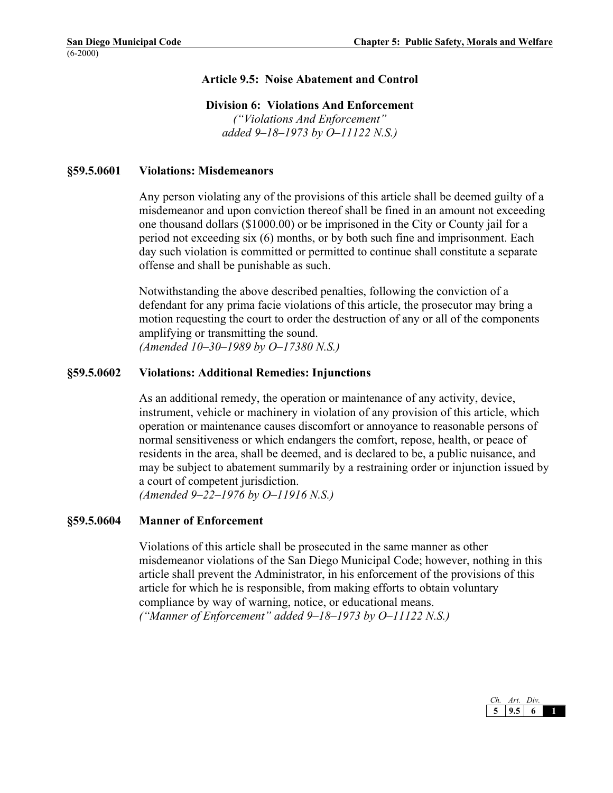## **Division 6: Violations And Enforcement**

*("Violations And Enforcement" added 9–18–1973 by O–11122 N.S.)* 

### **§59.5.0601 Violations: Misdemeanors**

Any person violating any of the provisions of this article shall be deemed guilty of a misdemeanor and upon conviction thereof shall be fined in an amount not exceeding one thousand dollars (\$1000.00) or be imprisoned in the City or County jail for a period not exceeding six (6) months, or by both such fine and imprisonment. Each day such violation is committed or permitted to continue shall constitute a separate offense and shall be punishable as such.

Notwithstanding the above described penalties, following the conviction of a defendant for any prima facie violations of this article, the prosecutor may bring a motion requesting the court to order the destruction of any or all of the components amplifying or transmitting the sound. *(Amended 10–30–1989 by O–17380 N.S.)* 

#### **§59.5.0602 Violations: Additional Remedies: Injunctions**

As an additional remedy, the operation or maintenance of any activity, device, instrument, vehicle or machinery in violation of any provision of this article, which operation or maintenance causes discomfort or annoyance to reasonable persons of normal sensitiveness or which endangers the comfort, repose, health, or peace of residents in the area, shall be deemed, and is declared to be, a public nuisance, and may be subject to abatement summarily by a restraining order or injunction issued by a court of competent jurisdiction.

*(Amended 9–22–1976 by O–11916 N.S.)* 

#### **§59.5.0604 Manner of Enforcement**

Violations of this article shall be prosecuted in the same manner as other misdemeanor violations of the San Diego Municipal Code; however, nothing in this article shall prevent the Administrator, in his enforcement of the provisions of this article for which he is responsible, from making efforts to obtain voluntary compliance by way of warning, notice, or educational means. *("Manner of Enforcement" added 9–18–1973 by O–11122 N.S.)* 

> *Ch. Art. Div.*  **5 9.5 6 1**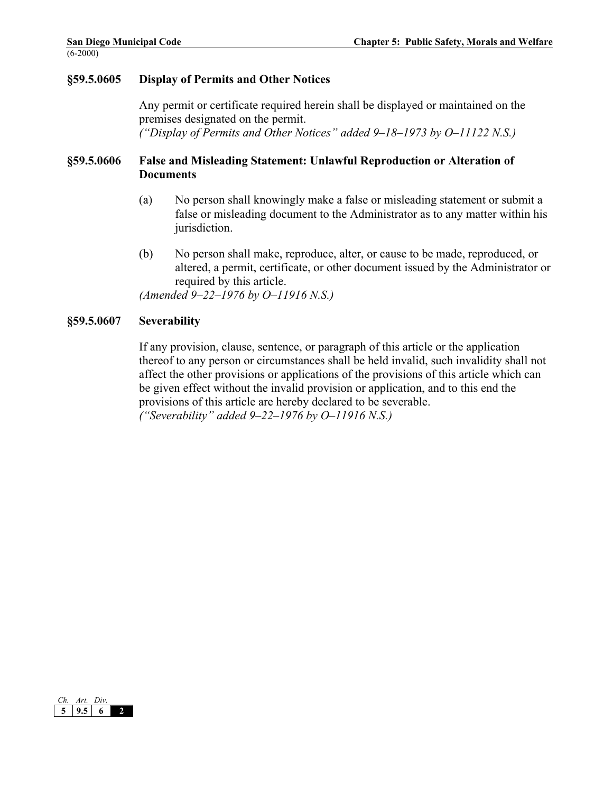### **§59.5.0605 Display of Permits and Other Notices**

Any permit or certificate required herein shall be displayed or maintained on the premises designated on the permit. *("Display of Permits and Other Notices" added 9–18–1973 by O–11122 N.S.)* 

## **§59.5.0606 False and Misleading Statement: Unlawful Reproduction or Alteration of Documents**

- (a) No person shall knowingly make a false or misleading statement or submit a false or misleading document to the Administrator as to any matter within his jurisdiction.
- (b) No person shall make, reproduce, alter, or cause to be made, reproduced, or altered, a permit, certificate, or other document issued by the Administrator or required by this article.

*(Amended 9–22–1976 by O–11916 N.S.)* 

#### **§59.5.0607 Severability**

If any provision, clause, sentence, or paragraph of this article or the application thereof to any person or circumstances shall be held invalid, such invalidity shall not affect the other provisions or applications of the provisions of this article which can be given effect without the invalid provision or application, and to this end the provisions of this article are hereby declared to be severable. *("Severability" added 9–22–1976 by O–11916 N.S.)* 

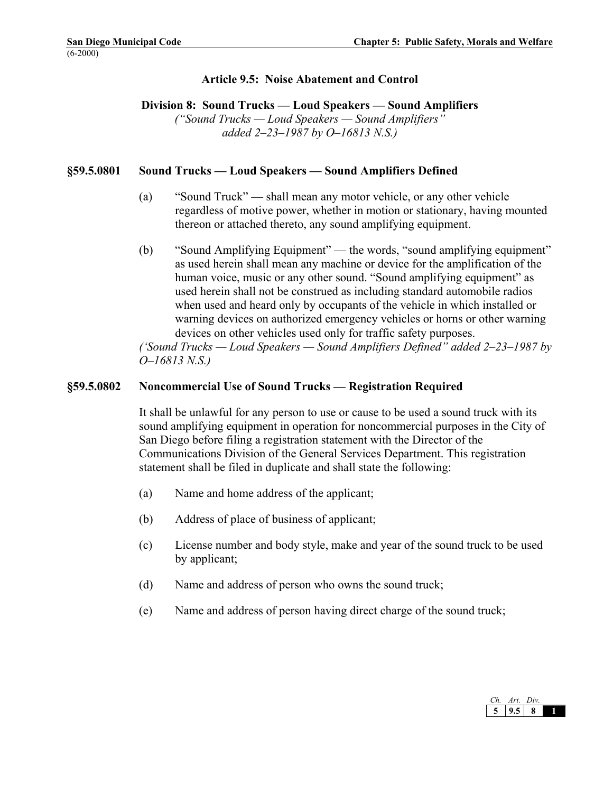**Division 8: Sound Trucks — Loud Speakers — Sound Amplifiers** 

*("Sound Trucks — Loud Speakers — Sound Amplifiers" added 2–23–1987 by O–16813 N.S.)* 

## **§59.5.0801 Sound Trucks — Loud Speakers — Sound Amplifiers Defined**

- (a) "Sound Truck" shall mean any motor vehicle, or any other vehicle regardless of motive power, whether in motion or stationary, having mounted thereon or attached thereto, any sound amplifying equipment.
- (b) "Sound Amplifying Equipment" the words, "sound amplifying equipment" as used herein shall mean any machine or device for the amplification of the human voice, music or any other sound. "Sound amplifying equipment" as used herein shall not be construed as including standard automobile radios when used and heard only by occupants of the vehicle in which installed or warning devices on authorized emergency vehicles or horns or other warning devices on other vehicles used only for traffic safety purposes.

*('Sound Trucks — Loud Speakers — Sound Amplifiers Defined" added 2–23–1987 by O–16813 N.S.)* 

## **§59.5.0802 Noncommercial Use of Sound Trucks — Registration Required**

It shall be unlawful for any person to use or cause to be used a sound truck with its sound amplifying equipment in operation for noncommercial purposes in the City of San Diego before filing a registration statement with the Director of the Communications Division of the General Services Department. This registration statement shall be filed in duplicate and shall state the following:

- (a) Name and home address of the applicant;
- (b) Address of place of business of applicant;
- (c) License number and body style, make and year of the sound truck to be used by applicant;
- (d) Name and address of person who owns the sound truck;
- (e) Name and address of person having direct charge of the sound truck;

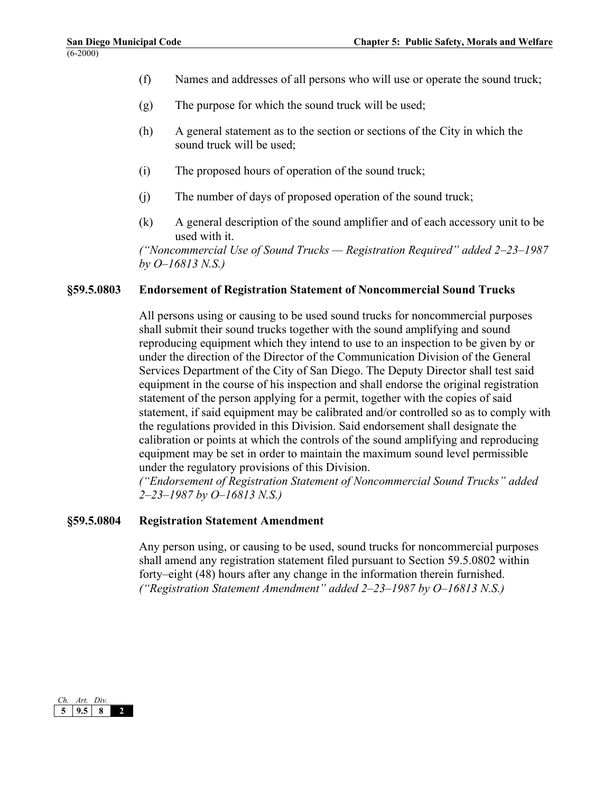- (f) Names and addresses of all persons who will use or operate the sound truck;
- (g) The purpose for which the sound truck will be used;
- (h) A general statement as to the section or sections of the City in which the sound truck will be used;
- (i) The proposed hours of operation of the sound truck;
- (j) The number of days of proposed operation of the sound truck;
- (k) A general description of the sound amplifier and of each accessory unit to be used with it.

*("Noncommercial Use of Sound Trucks — Registration Required" added 2–23–1987 by O–16813 N.S.)* 

## **§59.5.0803 Endorsement of Registration Statement of Noncommercial Sound Trucks**

All persons using or causing to be used sound trucks for noncommercial purposes shall submit their sound trucks together with the sound amplifying and sound reproducing equipment which they intend to use to an inspection to be given by or under the direction of the Director of the Communication Division of the General Services Department of the City of San Diego. The Deputy Director shall test said equipment in the course of his inspection and shall endorse the original registration statement of the person applying for a permit, together with the copies of said statement, if said equipment may be calibrated and/or controlled so as to comply with the regulations provided in this Division. Said endorsement shall designate the calibration or points at which the controls of the sound amplifying and reproducing equipment may be set in order to maintain the maximum sound level permissible under the regulatory provisions of this Division.

*("Endorsement of Registration Statement of Noncommercial Sound Trucks" added 2–23–1987 by O–16813 N.S.)* 

## **§59.5.0804 Registration Statement Amendment**

Any person using, or causing to be used, sound trucks for noncommercial purposes shall amend any registration statement filed pursuant to Section 59.5.0802 within forty–eight (48) hours after any change in the information therein furnished. *("Registration Statement Amendment" added 2–23–1987 by O–16813 N.S.)* 

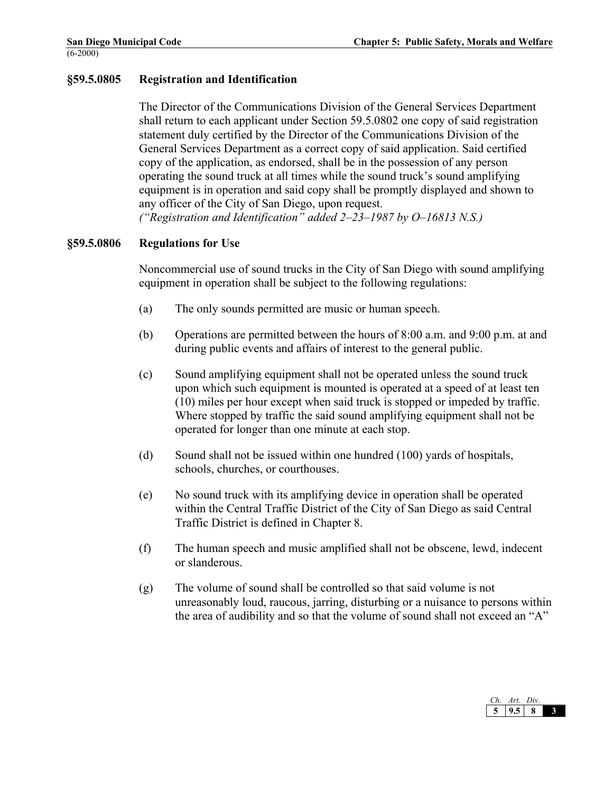## **§59.5.0805 Registration and Identification**

The Director of the Communications Division of the General Services Department shall return to each applicant under Section 59.5.0802 one copy of said registration statement duly certified by the Director of the Communications Division of the General Services Department as a correct copy of said application. Said certified copy of the application, as endorsed, shall be in the possession of any person operating the sound truck at all times while the sound truck's sound amplifying equipment is in operation and said copy shall be promptly displayed and shown to any officer of the City of San Diego, upon request. *("Registration and Identification" added 2–23–1987 by O–16813 N.S.)* 

## **§59.5.0806 Regulations for Use**

Noncommercial use of sound trucks in the City of San Diego with sound amplifying equipment in operation shall be subject to the following regulations:

- (a) The only sounds permitted are music or human speech.
- (b) Operations are permitted between the hours of 8:00 a.m. and 9:00 p.m. at and during public events and affairs of interest to the general public.
- (c) Sound amplifying equipment shall not be operated unless the sound truck upon which such equipment is mounted is operated at a speed of at least ten (10) miles per hour except when said truck is stopped or impeded by traffic. Where stopped by traffic the said sound amplifying equipment shall not be operated for longer than one minute at each stop.
- (d) Sound shall not be issued within one hundred (100) yards of hospitals, schools, churches, or courthouses.
- (e) No sound truck with its amplifying device in operation shall be operated within the Central Traffic District of the City of San Diego as said Central Traffic District is defined in Chapter 8.
- (f) The human speech and music amplified shall not be obscene, lewd, indecent or slanderous.
- (g) The volume of sound shall be controlled so that said volume is not unreasonably loud, raucous, jarring, disturbing or a nuisance to persons within the area of audibility and so that the volume of sound shall not exceed an "A"

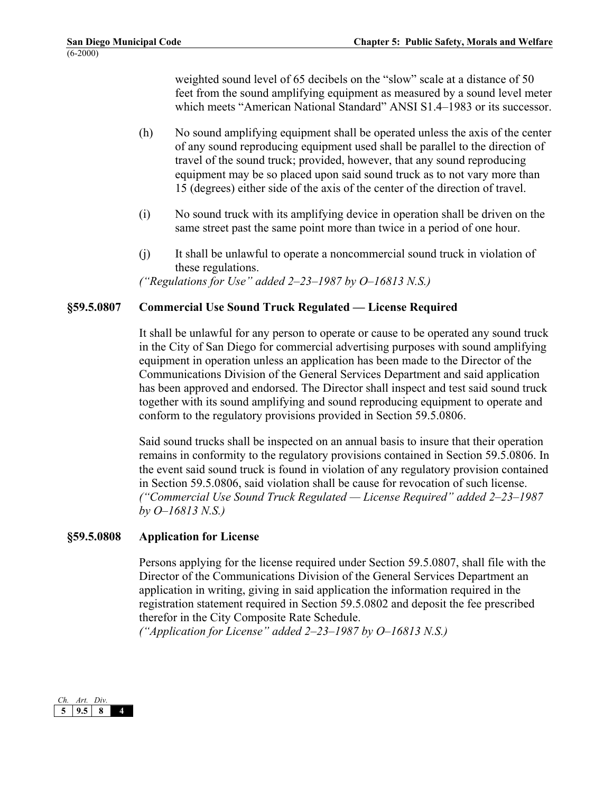weighted sound level of 65 decibels on the "slow" scale at a distance of 50 feet from the sound amplifying equipment as measured by a sound level meter which meets "American National Standard" ANSI S1.4–1983 or its successor.

- (h) No sound amplifying equipment shall be operated unless the axis of the center of any sound reproducing equipment used shall be parallel to the direction of travel of the sound truck; provided, however, that any sound reproducing equipment may be so placed upon said sound truck as to not vary more than 15 (degrees) either side of the axis of the center of the direction of travel.
- (i) No sound truck with its amplifying device in operation shall be driven on the same street past the same point more than twice in a period of one hour.
- (j) It shall be unlawful to operate a noncommercial sound truck in violation of these regulations.

*("Regulations for Use" added 2–23–1987 by O–16813 N.S.)* 

## **§59.5.0807 Commercial Use Sound Truck Regulated — License Required**

It shall be unlawful for any person to operate or cause to be operated any sound truck in the City of San Diego for commercial advertising purposes with sound amplifying equipment in operation unless an application has been made to the Director of the Communications Division of the General Services Department and said application has been approved and endorsed. The Director shall inspect and test said sound truck together with its sound amplifying and sound reproducing equipment to operate and conform to the regulatory provisions provided in Section 59.5.0806.

Said sound trucks shall be inspected on an annual basis to insure that their operation remains in conformity to the regulatory provisions contained in Section 59.5.0806. In the event said sound truck is found in violation of any regulatory provision contained in Section 59.5.0806, said violation shall be cause for revocation of such license. *("Commercial Use Sound Truck Regulated — License Required" added 2–23–1987 by O–16813 N.S.)* 

## **§59.5.0808 Application for License**

Persons applying for the license required under Section 59.5.0807, shall file with the Director of the Communications Division of the General Services Department an application in writing, giving in said application the information required in the registration statement required in Section 59.5.0802 and deposit the fee prescribed therefor in the City Composite Rate Schedule.

*("Application for License" added 2–23–1987 by O–16813 N.S.)* 

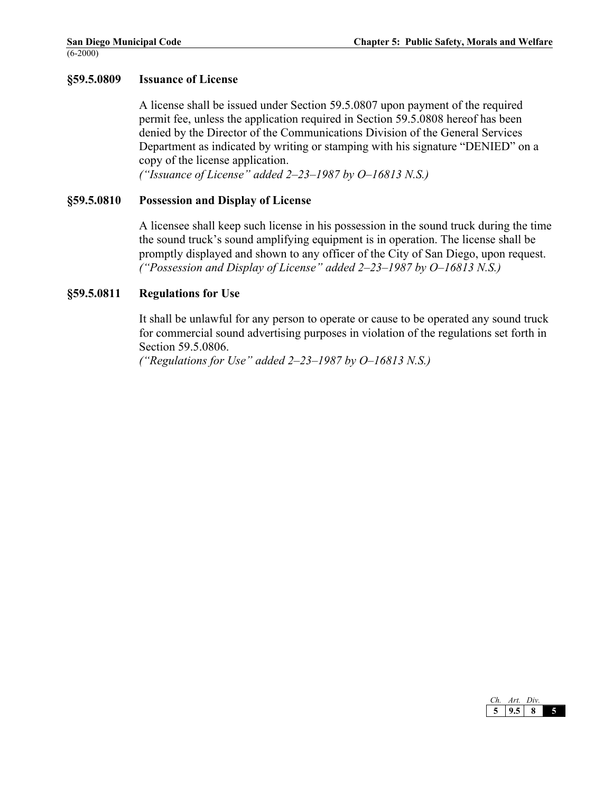## **§59.5.0809 Issuance of License**

A license shall be issued under Section 59.5.0807 upon payment of the required permit fee, unless the application required in Section 59.5.0808 hereof has been denied by the Director of the Communications Division of the General Services Department as indicated by writing or stamping with his signature "DENIED" on a copy of the license application.

*("Issuance of License" added 2–23–1987 by O–16813 N.S.)* 

## **§59.5.0810 Possession and Display of License**

A licensee shall keep such license in his possession in the sound truck during the time the sound truck's sound amplifying equipment is in operation. The license shall be promptly displayed and shown to any officer of the City of San Diego, upon request. *("Possession and Display of License" added 2–23–1987 by O–16813 N.S.)* 

## **§59.5.0811 Regulations for Use**

It shall be unlawful for any person to operate or cause to be operated any sound truck for commercial sound advertising purposes in violation of the regulations set forth in Section 59.5.0806.

*("Regulations for Use" added 2–23–1987 by O–16813 N.S.)* 

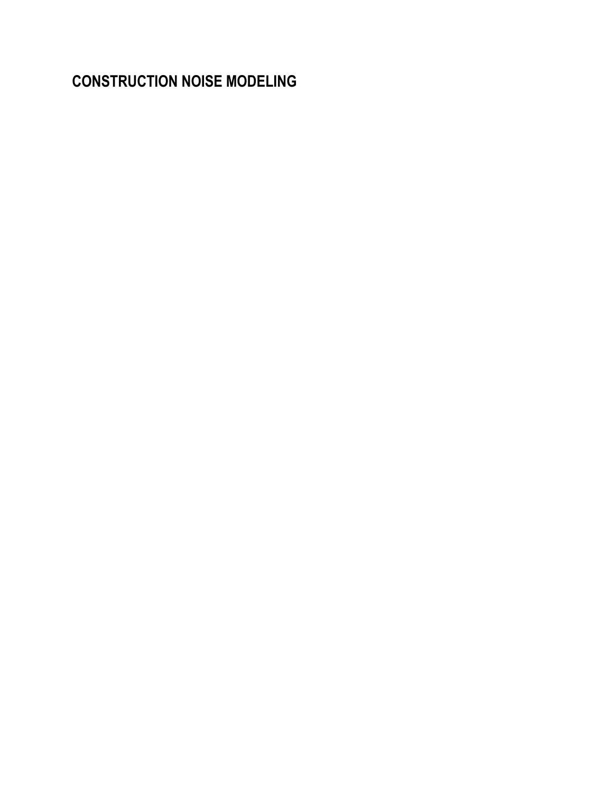## **CONSTRUCTION NOISE MODELING**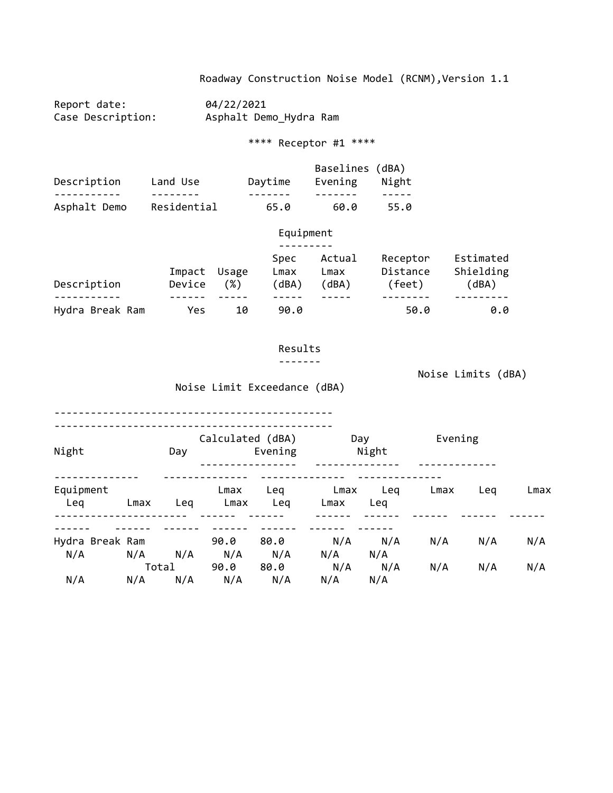Report date: 04/22/2021<br>Case Description: Asphalt Dem Asphalt Demo\_Hydra Ram

\*\*\*\* Receptor #1 \*\*\*\*

|              |             |         | Baselines (dBA) |       |  |
|--------------|-------------|---------|-----------------|-------|--|
| Description  | Land Use    | Daytime | Evening         | Night |  |
|              |             |         |                 |       |  |
| Asphalt Demo | Residential | 65.0    | 60.0            | 55.0  |  |

## Equipment

| Description     | Impact<br>Device | Usage<br>(%) | <b>Spec</b><br>Lmax<br>(dBA) | Actual<br>Lmax<br>dBA). | Receptor<br>Distance<br>(feet) | Estimated<br>Shielding<br>(dBA) |
|-----------------|------------------|--------------|------------------------------|-------------------------|--------------------------------|---------------------------------|
|                 |                  |              |                              |                         |                                |                                 |
| Hydra Break Ram | Yes              | 10           | 90.0                         |                         | 50.0                           | 0.0                             |

## Results

‐‐‐‐‐‐‐

Noise Limits (dBA)

Noise Limit Exceedance (dBA)

‐‐‐‐‐‐‐‐‐‐‐‐‐‐‐‐‐‐‐‐‐‐‐‐‐‐‐‐‐‐‐‐‐‐‐‐‐‐‐‐‐‐‐‐‐‐

| Night                  |              | Calculated (dBA)<br>Day<br>Night<br>Evening<br>Day |                     |                     | Evening           |                   |            |            |            |
|------------------------|--------------|----------------------------------------------------|---------------------|---------------------|-------------------|-------------------|------------|------------|------------|
| Equipment<br>Leq       | Lmax         | Lea                                                | Lmax<br>Lmax        | Leg<br>Leg          | Lmax<br>Lmax      | Leg<br>Lea        | Lmax       | Leg        | Lmax       |
| Hydra Break Ram<br>N/A | N/A<br>Total | N/A                                                | 90.0<br>N/A<br>90.0 | 80.0<br>N/A<br>80.0 | N/A<br>N/A<br>N/A | N/A<br>N/A<br>N/A | N/A<br>N/A | N/A<br>N/A | N/A<br>N/A |
| N/A                    | N/A          | N/A                                                | N/A                 | N/A                 | N/A               | N/A               |            |            |            |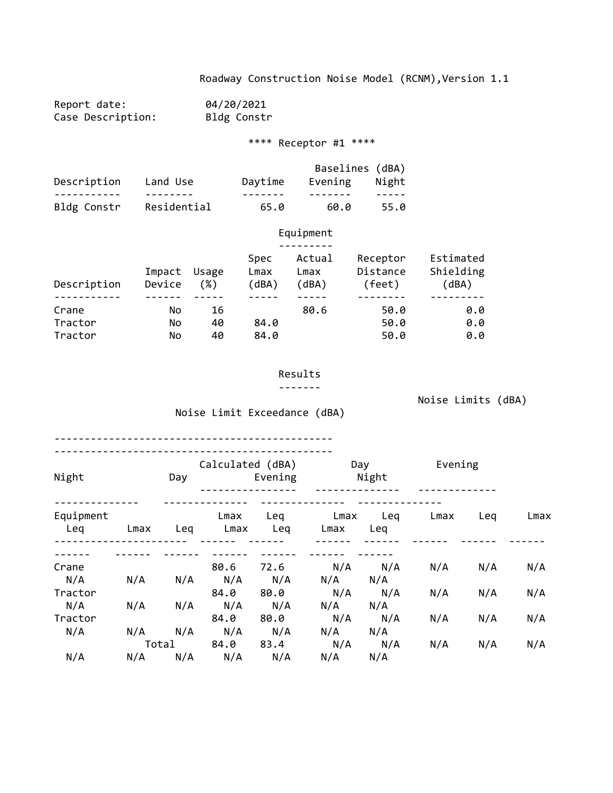| Report date:      | 04/20/2021  |
|-------------------|-------------|
| Case Description: | Bldg Constr |

\*\*\*\* Receptor #1 \*\*\*\*

|             |             |         | Baselines (dBA) |       |
|-------------|-------------|---------|-----------------|-------|
| Description | Land Use    | Daytime | Evening         | Night |
|             |             |         |                 |       |
| Bldg Constr | Residential | 65.0    | 60.0            | 55.0  |

## Equipment

| Description | Impact<br>Device | Usage<br>(%) | Spec<br>Lmax<br>(dBA) | Actual<br>Lmax<br>(dBA) | Receptor<br>Distance<br>(feet) | Estimated<br>Shielding<br>(dBA) |
|-------------|------------------|--------------|-----------------------|-------------------------|--------------------------------|---------------------------------|
|             |                  |              |                       |                         |                                |                                 |
| Crane       | No               | 16           |                       | 80.6                    | 50.0                           | 0.0                             |
| Tractor     | No               | 40           | 84.0                  |                         | 50.0                           | 0.0                             |
| Tractor     | No               | 40           | 84.0                  |                         | 50.0                           | 0.0                             |

#### Results

‐‐‐‐‐‐‐

Noise Limits (dBA)

Noise Limit Exceedance (dBA)

|           |      |       | Calculated (dBA) |      | Day   |     | Evening |     |      |  |
|-----------|------|-------|------------------|------|-------|-----|---------|-----|------|--|
| Night     | Day  |       | Evening          |      | Night |     |         |     |      |  |
| Equipment |      |       | Lmax             | Leq  | Lmax  | Leq | Lmax    | Leg | Lmax |  |
| Leg       | Lmax | Leq   | Lmax             | Leg  | Lmax  | Leg |         |     |      |  |
|           |      |       |                  |      |       |     |         |     |      |  |
| Crane     |      |       | 80.6             | 72.6 | N/A   | N/A | N/A     | N/A | N/A  |  |
| N/A       | N/A  | N/A   | N/A              | N/A  | N/A   | N/A |         |     |      |  |
| Tractor   |      |       | 84.0             | 80.0 | N/A   | N/A | N/A     | N/A | N/A  |  |
| N/A       | N/A  | N/A   | N/A              | N/A  | N/A   | N/A |         |     |      |  |
| Tractor   |      |       | 84.0             | 80.0 | N/A   | N/A | N/A     | N/A | N/A  |  |
| N/A       | N/A  | N/A   | N/A              | N/A  | N/A   | N/A |         |     |      |  |
|           |      | Total | 84.0             | 83.4 | N/A   | N/A | N/A     | N/A | N/A  |  |
| N/A       | N/A  | N/A   | N/A              | N/A  | N/A   | N/A |         |     |      |  |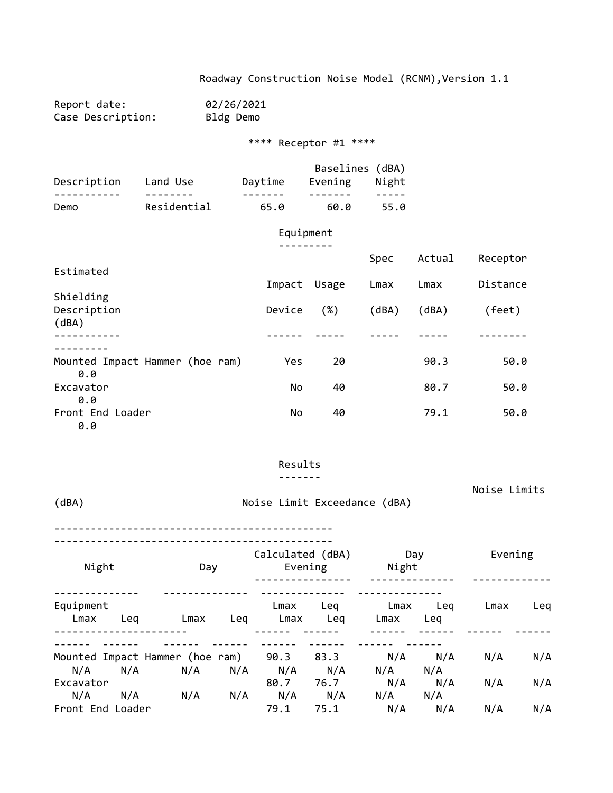|                                   |     |                                        |                             | Roadway Construction Noise Model (RCNM), Version 1.1 |                  |                            |            |              |     |
|-----------------------------------|-----|----------------------------------------|-----------------------------|------------------------------------------------------|------------------|----------------------------|------------|--------------|-----|
| Report date:<br>Case Description: |     | 02/26/2021<br>Bldg Demo                |                             |                                                      |                  |                            |            |              |     |
|                                   |     |                                        |                             | **** Receptor #1 ****                                |                  |                            |            |              |     |
| Description Land Use              |     |                                        |                             | Daytime                                              | Evening          | Baselines (dBA)<br>Night   |            |              |     |
| Demo                              |     | Residential                            |                             | 65.0                                                 | --------         | $- - - - - -$<br>60.0 55.0 |            |              |     |
|                                   |     |                                        |                             | Equipment                                            |                  |                            |            |              |     |
|                                   |     |                                        |                             |                                                      |                  | Spec                       | Actual     | Receptor     |     |
| Estimated                         |     |                                        |                             |                                                      | Impact Usage     | $L$ max                    | Lmax       | Distance     |     |
| Shielding<br>Description<br>(dBA) |     |                                        |                             |                                                      | Device (%) (dBA) |                            | (dBA)      | (feet)       |     |
| ----------                        |     |                                        |                             |                                                      | -----            |                            |            |              |     |
| 0.0                               |     | Mounted Impact Hammer (hoe ram)        |                             | Yes                                                  | 20               |                            | 90.3       | 50.0         |     |
| Excavator<br>0.0                  |     |                                        |                             | No                                                   | 40               |                            | 80.7       | 50.0         |     |
| Front End Loader<br>0.0           |     |                                        |                             | No                                                   | 40               |                            | 79.1       | 50.0         |     |
|                                   |     |                                        |                             | Results                                              |                  |                            |            |              |     |
| (dBA)                             |     |                                        |                             | Noise Limit Exceedance (dBA)                         |                  |                            |            | Noise Limits |     |
| Night<br>Day                      |     |                                        | Calculated (dBA)<br>Evening |                                                      | Day<br>Night     |                            | Evening    |              |     |
| Equipment<br>Lmax                 | Leq | Lmax                                   | Leq                         | Lmax                                                 | Leg<br>Lmax Leq  | Lmax<br>$L$ max            | Leq<br>Leq | Lmax         | Leq |
| N/A                               | N/A | Mounted Impact Hammer (hoe ram)<br>N/A | N/A                         | 90.3<br>N/A                                          | 83.3<br>N/A      | N/A<br>N/A                 | N/A<br>N/A | N/A          | N/A |
| Excavator<br>N/A                  | N/A | N/A                                    | N/A                         | 80.7 76.7<br>N/A                                     | N/A              | N/A<br>N/A                 | N/A<br>N/A | N/A          | N/A |

Front End Loader 79.1 75.1 N/A N/A N/A N/A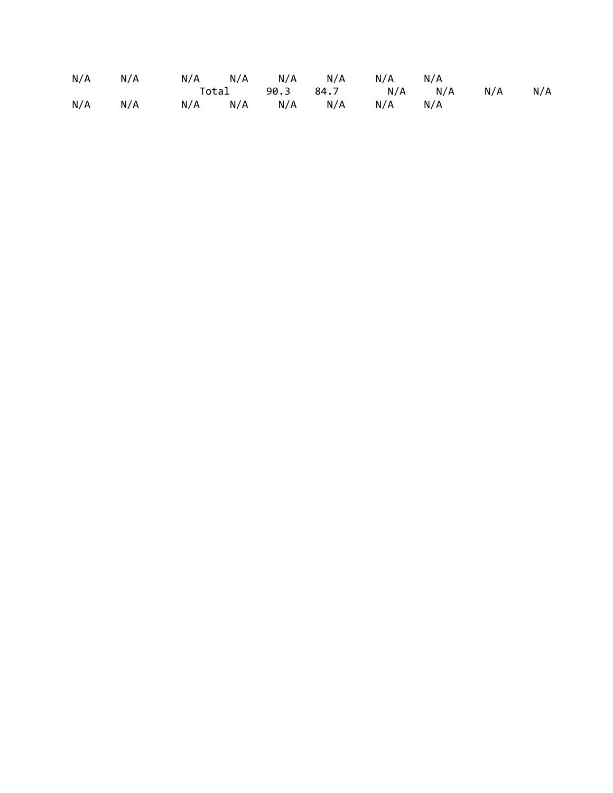|  | N/A N/A N/A N/A N/A N/A N/A N/A |  |                                 |  |  |
|--|---------------------------------|--|---------------------------------|--|--|
|  |                                 |  | Total 90.3 84.7 N/A N/A N/A N/A |  |  |
|  | N/A N/A N/A N/A N/A N/A N/A N/A |  |                                 |  |  |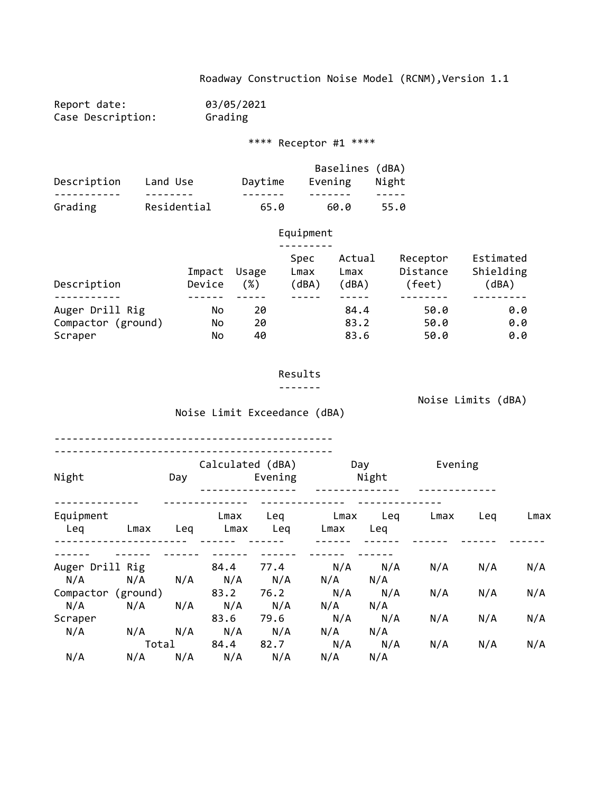Report date: 03/05/2021 Case Description: Grading

\*\*\*\* Receptor #1 \*\*\*\*

|             |             |         | Baselines (dBA) |       |
|-------------|-------------|---------|-----------------|-------|
| Description | Land Use    | Daytime | Evening         | Night |
|             |             |         |                 |       |
| Grading     | Residential | 65.0    | 60.0            | 55.0  |

## Equipment

| Description        | Impact<br>Device | Usage<br>$(\%)$ | Spec<br>Lmax<br>dBA) | Actual<br>Lmax<br>(dBA) | Receptor<br>Distance<br>(feet) | Estimated<br>Shielding<br>(dBA) |
|--------------------|------------------|-----------------|----------------------|-------------------------|--------------------------------|---------------------------------|
|                    |                  |                 |                      |                         |                                |                                 |
| Auger Drill Rig    | No.              | 20              |                      | 84.4                    | 50.0                           | 0.0                             |
| Compactor (ground) | No               | 20              |                      | 83.2                    | 50.0                           | 0.0                             |
| Scraper            | No               | 40              |                      | 83.6                    | 50.0                           | 0.0                             |

#### Results ‐‐‐‐‐‐‐

Noise Limits (dBA)

Noise Limit Exceedance (dBA)

| Night              |       | Day | Calculated (dBA)<br>Evening |      | Day  | Night | Evening |     |      |
|--------------------|-------|-----|-----------------------------|------|------|-------|---------|-----|------|
|                    |       |     |                             |      |      |       |         |     |      |
| Equipment          |       |     | Lmax                        | Leg  | Lmax | Leg   | Lmax    | Leg | Lmax |
| Leg                | Lmax  | Leq | Lmax                        | Leg  | Lmax | Leg   |         |     |      |
|                    |       |     |                             |      |      |       |         |     |      |
| Auger Drill Rig    |       |     | 84.4                        | 77.4 | N/A  | N/A   | N/A     | N/A | N/A  |
| N/A                | N/A   | N/A | N/A                         | N/A  | N/A  | N/A   |         |     |      |
| Compactor (ground) |       |     | 83.2                        | 76.2 | N/A  | N/A   | N/A     | N/A | N/A  |
| N/A                | N/A   | N/A | N/A                         | N/A  | N/A  | N/A   |         |     |      |
| Scraper            |       |     | 83.6                        | 79.6 | N/A  | N/A   | N/A     | N/A | N/A  |
| N/A                | N/A   | N/A | N/A                         | N/A  | N/A  | N/A   |         |     |      |
|                    | Total |     | 84.4                        | 82.7 | N/A  | N/A   | N/A     | N/A | N/A  |
| N/A                | N/A   | N/A | N/A                         | N/A  | N/A  | N/A   |         |     |      |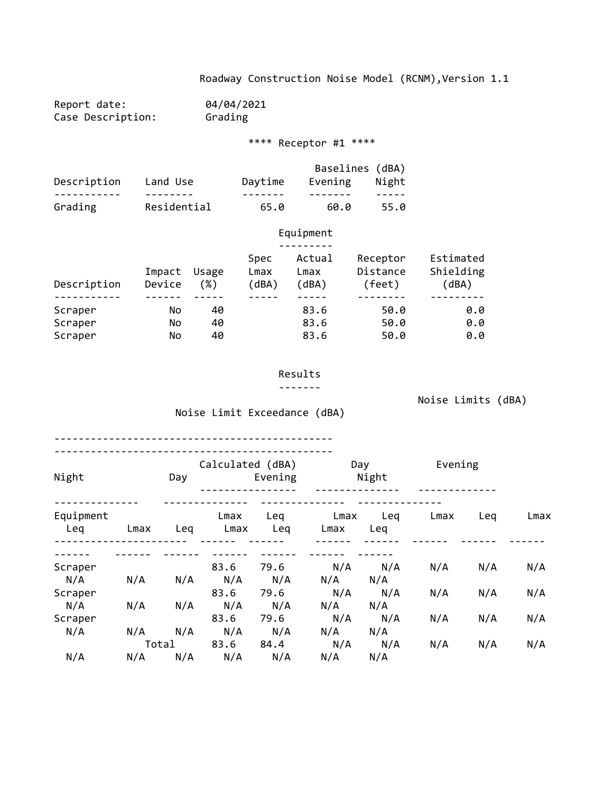| Report date:      | 04/04/2021 |
|-------------------|------------|
| Case Description: | Grading    |

\*\*\*\* Receptor #1 \*\*\*\*

|             |             |         | Baselines (dBA) |       |
|-------------|-------------|---------|-----------------|-------|
| Description | Land Use    | Daytime | Evening         | Night |
|             |             |         |                 |       |
| Grading     | Residential | 65.0    | 60.0            | 55.0  |

## Equipment

| Description | Impact<br>Device | Usage<br>(%) | Spec<br>Lmax<br>(dBA) | Actual<br>Lmax<br>(dBA) | Receptor<br>Distance<br>(feet) | Estimated<br>Shielding<br>(dBA) |  |  |  |  |
|-------------|------------------|--------------|-----------------------|-------------------------|--------------------------------|---------------------------------|--|--|--|--|
|             |                  |              |                       |                         |                                |                                 |  |  |  |  |
| Scraper     | No               | 40           |                       | 83.6                    | 50.0                           | 0.0                             |  |  |  |  |
| Scraper     | No               | 40           |                       | 83.6                    | 50.0                           | 0.0                             |  |  |  |  |
| Scraper     | No               | 40           |                       | 83.6                    | 50.0                           | 0.0                             |  |  |  |  |

#### Results

‐‐‐‐‐‐‐

Noise Limits (dBA)

Noise Limit Exceedance (dBA)

| Night     |      | Day   | Calculated (dBA)<br>Evening |      | Day  | Night | Evening |     |      |  |
|-----------|------|-------|-----------------------------|------|------|-------|---------|-----|------|--|
|           |      |       |                             |      |      |       |         |     |      |  |
| Equipment |      |       | Lmax                        | Leg  | Lmax | Leg   | Lmax    | Leg | Lmax |  |
| Leq       | Lmax | Leq   | Lmax                        | Leg  | Lmax | Leg   |         |     |      |  |
|           |      |       |                             |      |      |       |         |     |      |  |
| Scraper   |      |       | 83.6                        | 79.6 | N/A  | N/A   | N/A     | N/A | N/A  |  |
| N/A       | N/A  | N/A   | N/A                         | N/A  | N/A  | N/A   |         |     |      |  |
| Scraper   |      |       | 83.6                        | 79.6 | N/A  | N/A   | N/A     | N/A | N/A  |  |
| N/A       | N/A  | N/A   | N/A                         | N/A  | N/A  | N/A   |         |     |      |  |
| Scraper   |      |       | 83.6                        | 79.6 | N/A  | N/A   | N/A     | N/A | N/A  |  |
| N/A       | N/A  | N/A   | N/A                         | N/A  | N/A  | N/A   |         |     |      |  |
|           |      | Total | 83.6                        | 84.4 | N/A  | N/A   | N/A     | N/A | N/A  |  |
| N/A       | N/A  | N/A   | N/A                         | N/A  | N/A  | N/A   |         |     |      |  |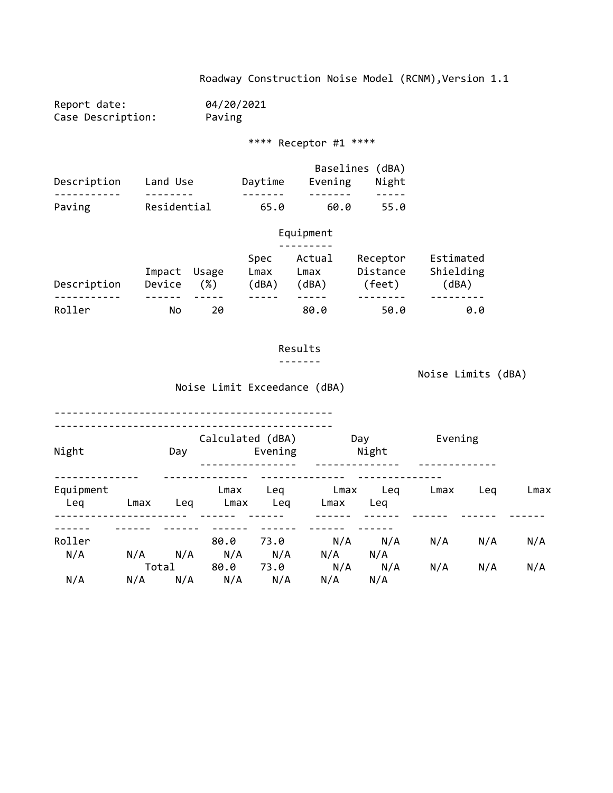Report date: 04/20/2021 Case Description: Paving

\*\*\*\* Receptor #1 \*\*\*\*

|             |             |         | Baselines (dBA) |       |
|-------------|-------------|---------|-----------------|-------|
| Description | Land Use    | Daytime | Evening         | Night |
|             |             |         |                 |       |
| Paving      | Residential | 65.0    | 60.0            | 55.0  |

## Equipment

| Description | Impact Usage<br>Device | (%) | Spec<br>Lmax<br>(dBA) | Actual<br>Lmax<br>(dBA) | Receptor<br>Distance<br>(feet) | Estimated<br>Shielding<br>(dBA) |  |  |
|-------------|------------------------|-----|-----------------------|-------------------------|--------------------------------|---------------------------------|--|--|
|             |                        |     |                       |                         |                                |                                 |  |  |
| Roller      | No                     | 20  |                       | 80.0                    | 50.0                           | 0.0                             |  |  |

Results

‐‐‐‐‐‐‐

Noise Limits (dBA)

Noise Limit Exceedance (dBA)

‐‐‐‐‐‐‐‐‐‐‐‐‐‐‐‐‐‐‐‐‐‐‐‐‐‐‐‐‐‐‐‐‐‐‐‐‐‐‐‐‐‐‐‐‐‐

| Night            |             | Day | Calculated (dBA)<br>Evening |            | Day<br>Night |            | Evening     |     |      |  |
|------------------|-------------|-----|-----------------------------|------------|--------------|------------|-------------|-----|------|--|
| Equipment<br>Leq | Leq<br>Lmax |     | Lmax<br>Lmax                | Leg<br>Leg | Lmax<br>Lmax | Leg<br>Leg | Lmax<br>Leg |     | Lmax |  |
|                  |             |     |                             |            |              |            |             |     |      |  |
| Roller           |             |     | 80.0                        | 73.0       | N/A          | N/A        | N/A         | N/A | N/A  |  |
| N/A              | N/A         | N/A | N/A                         | N/A        | N/A          | N/A        |             |     |      |  |
|                  | Total       |     | 80.0                        | 73.0       | N/A          | N/A        | N/A         | N/A | N/A  |  |
| N/A              | N/A         | N/A | N/A                         | N/A        | N/A          | N/A        |             |     |      |  |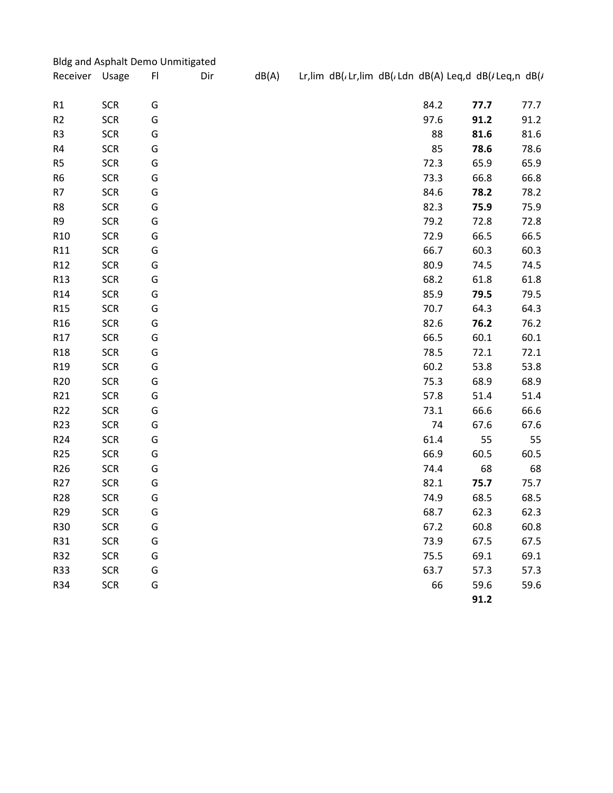|                 |            | <b>Bldg and Asphalt Demo Unmitigated</b> |     |       |  |      |                                                        |      |
|-----------------|------------|------------------------------------------|-----|-------|--|------|--------------------------------------------------------|------|
| Receiver Usage  |            | F                                        | Dir | dB(A) |  |      | Lr,lim dB(, Lr,lim dB(, Ldn dB(A) Leq,d dB(/Leq,n dB(/ |      |
|                 |            |                                          |     |       |  |      |                                                        |      |
| R1              | <b>SCR</b> | G                                        |     |       |  | 84.2 | 77.7                                                   | 77.7 |
| R2              | <b>SCR</b> | G                                        |     |       |  | 97.6 | 91.2                                                   | 91.2 |
| R <sub>3</sub>  | <b>SCR</b> | G                                        |     |       |  | 88   | 81.6                                                   | 81.6 |
| R4              | <b>SCR</b> | G                                        |     |       |  | 85   | 78.6                                                   | 78.6 |
| R <sub>5</sub>  | <b>SCR</b> | G                                        |     |       |  | 72.3 | 65.9                                                   | 65.9 |
| R <sub>6</sub>  | <b>SCR</b> | G                                        |     |       |  | 73.3 | 66.8                                                   | 66.8 |
| R7              | <b>SCR</b> | G                                        |     |       |  | 84.6 | 78.2                                                   | 78.2 |
| R8              | <b>SCR</b> | G                                        |     |       |  | 82.3 | 75.9                                                   | 75.9 |
| R9              | <b>SCR</b> | G                                        |     |       |  | 79.2 | 72.8                                                   | 72.8 |
| R <sub>10</sub> | <b>SCR</b> | G                                        |     |       |  | 72.9 | 66.5                                                   | 66.5 |
| R11             | <b>SCR</b> | G                                        |     |       |  | 66.7 | 60.3                                                   | 60.3 |
| R <sub>12</sub> | <b>SCR</b> | G                                        |     |       |  | 80.9 | 74.5                                                   | 74.5 |
| R <sub>13</sub> | <b>SCR</b> | G                                        |     |       |  | 68.2 | 61.8                                                   | 61.8 |
| R14             | <b>SCR</b> | G                                        |     |       |  | 85.9 | 79.5                                                   | 79.5 |
| R <sub>15</sub> | <b>SCR</b> | G                                        |     |       |  | 70.7 | 64.3                                                   | 64.3 |
| R <sub>16</sub> | <b>SCR</b> | G                                        |     |       |  | 82.6 | 76.2                                                   | 76.2 |
| R17             | <b>SCR</b> | G                                        |     |       |  | 66.5 | 60.1                                                   | 60.1 |
| R <sub>18</sub> | <b>SCR</b> | G                                        |     |       |  | 78.5 | 72.1                                                   | 72.1 |
| R <sub>19</sub> | <b>SCR</b> | G                                        |     |       |  | 60.2 | 53.8                                                   | 53.8 |
| R <sub>20</sub> | <b>SCR</b> | G                                        |     |       |  | 75.3 | 68.9                                                   | 68.9 |
| R21             | <b>SCR</b> | G                                        |     |       |  | 57.8 | 51.4                                                   | 51.4 |
| R22             | <b>SCR</b> | G                                        |     |       |  | 73.1 | 66.6                                                   | 66.6 |
| R <sub>23</sub> | <b>SCR</b> | G                                        |     |       |  | 74   | 67.6                                                   | 67.6 |
| R <sub>24</sub> | <b>SCR</b> | G                                        |     |       |  | 61.4 | 55                                                     | 55   |
| R <sub>25</sub> | <b>SCR</b> | G                                        |     |       |  | 66.9 | 60.5                                                   | 60.5 |
| R <sub>26</sub> | <b>SCR</b> | G                                        |     |       |  | 74.4 | 68                                                     | 68   |
| R <sub>27</sub> | <b>SCR</b> | G                                        |     |       |  | 82.1 | 75.7                                                   | 75.7 |
| R28             | <b>SCR</b> | G                                        |     |       |  | 74.9 | 68.5                                                   | 68.5 |
| R <sub>29</sub> | <b>SCR</b> | G                                        |     |       |  | 68.7 | 62.3                                                   | 62.3 |
| R30             | <b>SCR</b> | G                                        |     |       |  | 67.2 | 60.8                                                   | 60.8 |
| R31             | <b>SCR</b> | G                                        |     |       |  | 73.9 | 67.5                                                   | 67.5 |
| R32             | <b>SCR</b> | G                                        |     |       |  | 75.5 | 69.1                                                   | 69.1 |
| <b>R33</b>      | <b>SCR</b> | G                                        |     |       |  | 63.7 | 57.3                                                   | 57.3 |
| R34             | <b>SCR</b> | G                                        |     |       |  | 66   | 59.6                                                   | 59.6 |
|                 |            |                                          |     |       |  |      | 91.2                                                   |      |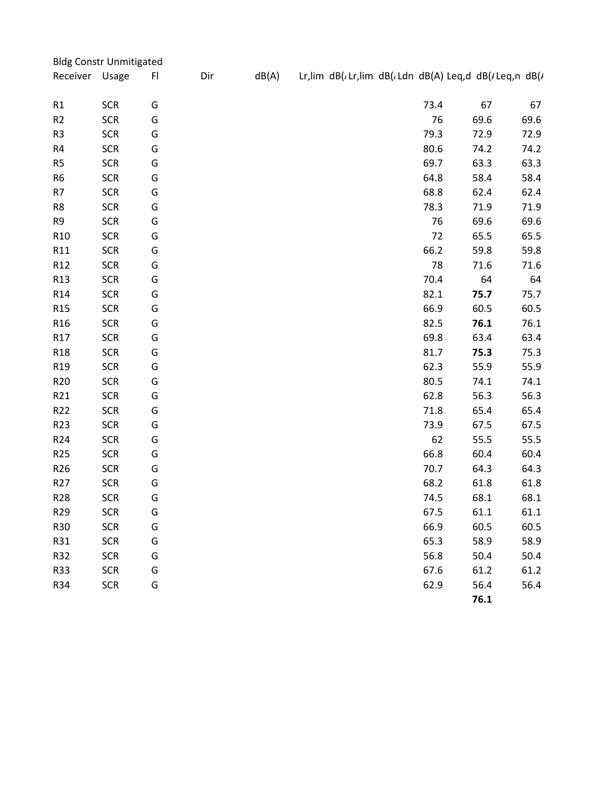|                 | <b>Bldg Constr Unmitigated</b> |    |     |       |  |      |      |                                                         |
|-----------------|--------------------------------|----|-----|-------|--|------|------|---------------------------------------------------------|
| Receiver Usage  |                                | FI | Dir | dB(A) |  |      |      | Lr,lim dB(, Lr,lim dB(, Ldn dB(A) Leq,d dB(, Leq,n dB(, |
|                 |                                |    |     |       |  |      |      |                                                         |
| R1              | <b>SCR</b>                     | G  |     |       |  | 73.4 | 67   | 67                                                      |
| R2              | <b>SCR</b>                     | G  |     |       |  | 76   | 69.6 | 69.6                                                    |
| R <sub>3</sub>  | <b>SCR</b>                     | G  |     |       |  | 79.3 | 72.9 | 72.9                                                    |
| R4              | <b>SCR</b>                     | G  |     |       |  | 80.6 | 74.2 | 74.2                                                    |
| R <sub>5</sub>  | <b>SCR</b>                     | G  |     |       |  | 69.7 | 63.3 | 63.3                                                    |
| R <sub>6</sub>  | <b>SCR</b>                     | G  |     |       |  | 64.8 | 58.4 | 58.4                                                    |
| R7              | <b>SCR</b>                     | G  |     |       |  | 68.8 | 62.4 | 62.4                                                    |
| R8              | <b>SCR</b>                     | G  |     |       |  | 78.3 | 71.9 | 71.9                                                    |
| R9              | <b>SCR</b>                     | G  |     |       |  | 76   | 69.6 | 69.6                                                    |
| R <sub>10</sub> | <b>SCR</b>                     | G  |     |       |  | 72   | 65.5 | 65.5                                                    |
| R11             | <b>SCR</b>                     | G  |     |       |  | 66.2 | 59.8 | 59.8                                                    |
| R <sub>12</sub> | <b>SCR</b>                     | G  |     |       |  | 78   | 71.6 | 71.6                                                    |
| R <sub>13</sub> | <b>SCR</b>                     | G  |     |       |  | 70.4 | 64   | 64                                                      |
| R <sub>14</sub> | <b>SCR</b>                     | G  |     |       |  | 82.1 | 75.7 | 75.7                                                    |
| R <sub>15</sub> | <b>SCR</b>                     | G  |     |       |  | 66.9 | 60.5 | 60.5                                                    |
| R <sub>16</sub> | <b>SCR</b>                     | G  |     |       |  | 82.5 | 76.1 | 76.1                                                    |
| R17             | <b>SCR</b>                     | G  |     |       |  | 69.8 | 63.4 | 63.4                                                    |
| R <sub>18</sub> | <b>SCR</b>                     | G  |     |       |  | 81.7 | 75.3 | 75.3                                                    |
| R <sub>19</sub> | <b>SCR</b>                     | G  |     |       |  | 62.3 | 55.9 | 55.9                                                    |
| R <sub>20</sub> | <b>SCR</b>                     | G  |     |       |  | 80.5 | 74.1 | 74.1                                                    |
| R21             | <b>SCR</b>                     | G  |     |       |  | 62.8 | 56.3 | 56.3                                                    |
| R22             | <b>SCR</b>                     | G  |     |       |  | 71.8 | 65.4 | 65.4                                                    |
| R <sub>23</sub> | <b>SCR</b>                     | G  |     |       |  | 73.9 | 67.5 | 67.5                                                    |
| R <sub>24</sub> | <b>SCR</b>                     | G  |     |       |  | 62   | 55.5 | 55.5                                                    |
| R <sub>25</sub> | <b>SCR</b>                     | G  |     |       |  | 66.8 | 60.4 | 60.4                                                    |
| R <sub>26</sub> | <b>SCR</b>                     | G  |     |       |  | 70.7 | 64.3 | 64.3                                                    |
| R <sub>27</sub> | <b>SCR</b>                     | G  |     |       |  | 68.2 | 61.8 | 61.8                                                    |
| R <sub>28</sub> | <b>SCR</b>                     | G  |     |       |  | 74.5 | 68.1 | 68.1                                                    |
| R <sub>29</sub> | <b>SCR</b>                     | G  |     |       |  | 67.5 | 61.1 | 61.1                                                    |
| R30             | <b>SCR</b>                     | G  |     |       |  | 66.9 | 60.5 | 60.5                                                    |
| R31             | <b>SCR</b>                     | G  |     |       |  | 65.3 | 58.9 | 58.9                                                    |
| R32             | <b>SCR</b>                     | G  |     |       |  | 56.8 | 50.4 | 50.4                                                    |
| <b>R33</b>      | <b>SCR</b>                     | G  |     |       |  | 67.6 | 61.2 | 61.2                                                    |
| R34             | <b>SCR</b>                     | G  |     |       |  | 62.9 | 56.4 | 56.4                                                    |
|                 |                                |    |     |       |  |      | 76.1 |                                                         |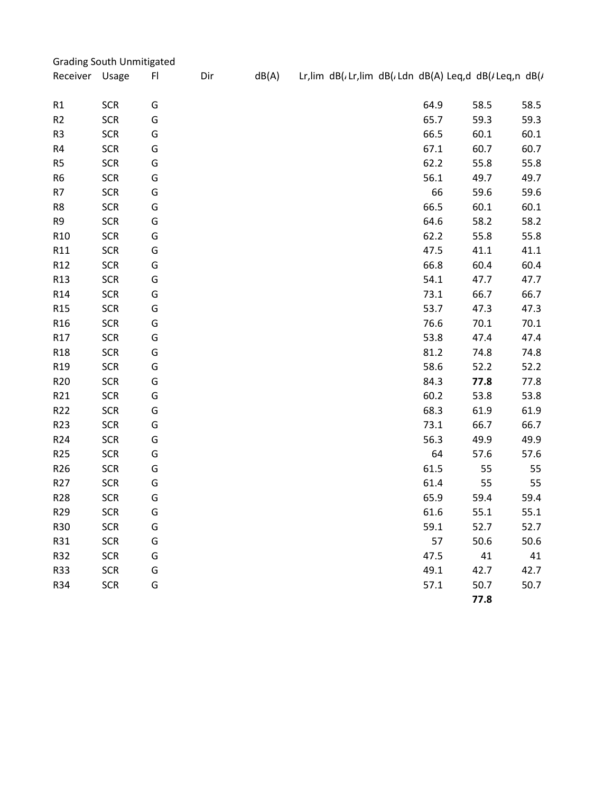|                 | <b>Grading South Unmitigated</b> |                |     |       |  |      |                                                         |      |
|-----------------|----------------------------------|----------------|-----|-------|--|------|---------------------------------------------------------|------|
| Receiver        | Usage                            | F <sub>l</sub> | Dir | dB(A) |  |      | Lr,lim dB(, Lr,lim dB(, Ldn dB(A) Leq,d dB(/ Leq,n dB(/ |      |
| R1              | <b>SCR</b>                       | G              |     |       |  | 64.9 | 58.5                                                    | 58.5 |
| R2              | <b>SCR</b>                       | G              |     |       |  | 65.7 | 59.3                                                    | 59.3 |
| R <sub>3</sub>  | <b>SCR</b>                       | G              |     |       |  | 66.5 | 60.1                                                    | 60.1 |
| R4              | <b>SCR</b>                       | G              |     |       |  | 67.1 | 60.7                                                    | 60.7 |
| R <sub>5</sub>  | <b>SCR</b>                       | G              |     |       |  | 62.2 | 55.8                                                    | 55.8 |
| R <sub>6</sub>  | <b>SCR</b>                       | G              |     |       |  | 56.1 | 49.7                                                    | 49.7 |
| R7              | <b>SCR</b>                       | G              |     |       |  | 66   | 59.6                                                    | 59.6 |
| R8              | <b>SCR</b>                       | G              |     |       |  | 66.5 | 60.1                                                    | 60.1 |
| R9              | <b>SCR</b>                       | G              |     |       |  | 64.6 | 58.2                                                    | 58.2 |
| R <sub>10</sub> | <b>SCR</b>                       | G              |     |       |  | 62.2 | 55.8                                                    | 55.8 |
| R11             | <b>SCR</b>                       | G              |     |       |  | 47.5 | 41.1                                                    | 41.1 |
| R <sub>12</sub> | <b>SCR</b>                       | G              |     |       |  | 66.8 | 60.4                                                    | 60.4 |
| R <sub>13</sub> | <b>SCR</b>                       | G              |     |       |  | 54.1 | 47.7                                                    | 47.7 |
| R14             | <b>SCR</b>                       | G              |     |       |  | 73.1 | 66.7                                                    | 66.7 |
| R <sub>15</sub> | <b>SCR</b>                       | G              |     |       |  | 53.7 | 47.3                                                    | 47.3 |
| R <sub>16</sub> | <b>SCR</b>                       | G              |     |       |  | 76.6 | 70.1                                                    | 70.1 |
| R17             | <b>SCR</b>                       | G              |     |       |  | 53.8 | 47.4                                                    | 47.4 |
| R <sub>18</sub> | <b>SCR</b>                       | G              |     |       |  | 81.2 | 74.8                                                    | 74.8 |
| R <sub>19</sub> | <b>SCR</b>                       | G              |     |       |  | 58.6 | 52.2                                                    | 52.2 |
| R20             | <b>SCR</b>                       | G              |     |       |  | 84.3 | 77.8                                                    | 77.8 |
| R21             | <b>SCR</b>                       | G              |     |       |  | 60.2 | 53.8                                                    | 53.8 |
| R22             | <b>SCR</b>                       | G              |     |       |  | 68.3 | 61.9                                                    | 61.9 |
| R23             | <b>SCR</b>                       | G              |     |       |  | 73.1 | 66.7                                                    | 66.7 |
| R24             | <b>SCR</b>                       | G              |     |       |  | 56.3 | 49.9                                                    | 49.9 |
| R <sub>25</sub> | <b>SCR</b>                       | G              |     |       |  | 64   | 57.6                                                    | 57.6 |
| R <sub>26</sub> | <b>SCR</b>                       | G              |     |       |  | 61.5 | 55                                                      | 55   |
| R <sub>27</sub> | <b>SCR</b>                       | G              |     |       |  | 61.4 | 55                                                      | 55   |
| R28             | <b>SCR</b>                       | G              |     |       |  | 65.9 | 59.4                                                    | 59.4 |
| R <sub>29</sub> | <b>SCR</b>                       | G              |     |       |  | 61.6 | 55.1                                                    | 55.1 |
| R30             | <b>SCR</b>                       | G              |     |       |  | 59.1 | 52.7                                                    | 52.7 |
| R31             | <b>SCR</b>                       | G              |     |       |  | 57   | 50.6                                                    | 50.6 |
| R32             | <b>SCR</b>                       | G              |     |       |  | 47.5 | 41                                                      | 41   |
| R33             | <b>SCR</b>                       | G              |     |       |  | 49.1 | 42.7                                                    | 42.7 |
| R34             | <b>SCR</b>                       | G              |     |       |  | 57.1 | 50.7                                                    | 50.7 |
|                 |                                  |                |     |       |  |      | 77.8                                                    |      |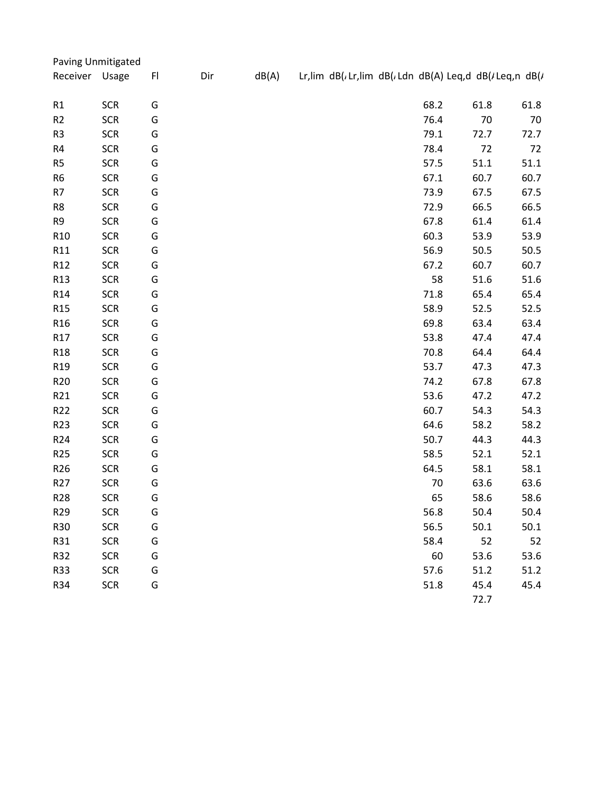| Paving Unmitigated |            |                |     |       |  |      |      |                                                         |
|--------------------|------------|----------------|-----|-------|--|------|------|---------------------------------------------------------|
| Receiver           | Usage      | F <sub>1</sub> | Dir | dB(A) |  |      |      | Lr,lim dB(, Lr,lim dB(, Ldn dB(A) Leq,d dB(, Leq,n dB(, |
|                    |            |                |     |       |  |      |      |                                                         |
| R1                 | <b>SCR</b> | G              |     |       |  | 68.2 | 61.8 | 61.8                                                    |
| R <sub>2</sub>     | <b>SCR</b> | G              |     |       |  | 76.4 | 70   | 70                                                      |
| R3                 | <b>SCR</b> | G              |     |       |  | 79.1 | 72.7 | 72.7                                                    |
| R4                 | <b>SCR</b> | G              |     |       |  | 78.4 | 72   | 72                                                      |
| R <sub>5</sub>     | <b>SCR</b> | G              |     |       |  | 57.5 | 51.1 | 51.1                                                    |
| R <sub>6</sub>     | <b>SCR</b> | G              |     |       |  | 67.1 | 60.7 | 60.7                                                    |
| R7                 | <b>SCR</b> | G              |     |       |  | 73.9 | 67.5 | 67.5                                                    |
| R8                 | <b>SCR</b> | G              |     |       |  | 72.9 | 66.5 | 66.5                                                    |
| R9                 | <b>SCR</b> | G              |     |       |  | 67.8 | 61.4 | 61.4                                                    |
| R <sub>10</sub>    | <b>SCR</b> | G              |     |       |  | 60.3 | 53.9 | 53.9                                                    |
| R11                | <b>SCR</b> | G              |     |       |  | 56.9 | 50.5 | 50.5                                                    |
| R12                | <b>SCR</b> | G              |     |       |  | 67.2 | 60.7 | 60.7                                                    |
| R <sub>13</sub>    | <b>SCR</b> | G              |     |       |  | 58   | 51.6 | 51.6                                                    |
| R14                | <b>SCR</b> | G              |     |       |  | 71.8 | 65.4 | 65.4                                                    |
| R <sub>15</sub>    | <b>SCR</b> | G              |     |       |  | 58.9 | 52.5 | 52.5                                                    |
| R <sub>16</sub>    | <b>SCR</b> | G              |     |       |  | 69.8 | 63.4 | 63.4                                                    |
| R17                | <b>SCR</b> | G              |     |       |  | 53.8 | 47.4 | 47.4                                                    |
| R <sub>18</sub>    | <b>SCR</b> | G              |     |       |  | 70.8 | 64.4 | 64.4                                                    |
| R <sub>19</sub>    | <b>SCR</b> | G              |     |       |  | 53.7 | 47.3 | 47.3                                                    |
| R <sub>20</sub>    | <b>SCR</b> | G              |     |       |  | 74.2 | 67.8 | 67.8                                                    |
| R21                | <b>SCR</b> | G              |     |       |  | 53.6 | 47.2 | 47.2                                                    |
| R22                | <b>SCR</b> | G              |     |       |  | 60.7 | 54.3 | 54.3                                                    |
| R23                | <b>SCR</b> | G              |     |       |  | 64.6 | 58.2 | 58.2                                                    |
| R <sub>24</sub>    | <b>SCR</b> | G              |     |       |  | 50.7 | 44.3 | 44.3                                                    |
| R <sub>25</sub>    | <b>SCR</b> | G              |     |       |  | 58.5 | 52.1 | 52.1                                                    |
| R <sub>26</sub>    | <b>SCR</b> | G              |     |       |  | 64.5 | 58.1 | 58.1                                                    |
| R <sub>27</sub>    | <b>SCR</b> | G              |     |       |  | 70   | 63.6 | 63.6                                                    |
| R <sub>28</sub>    | <b>SCR</b> | G              |     |       |  | 65   | 58.6 | 58.6                                                    |
| R <sub>29</sub>    | <b>SCR</b> | G              |     |       |  | 56.8 | 50.4 | 50.4                                                    |
| R30                | <b>SCR</b> | G              |     |       |  | 56.5 | 50.1 | 50.1                                                    |
| R31                | <b>SCR</b> | G              |     |       |  | 58.4 | 52   | 52                                                      |
| R32                | <b>SCR</b> | G              |     |       |  | 60   | 53.6 | 53.6                                                    |
| <b>R33</b>         | <b>SCR</b> | G              |     |       |  | 57.6 | 51.2 | 51.2                                                    |
| R34                | <b>SCR</b> | G              |     |       |  | 51.8 | 45.4 | 45.4                                                    |
|                    |            |                |     |       |  |      | 72.7 |                                                         |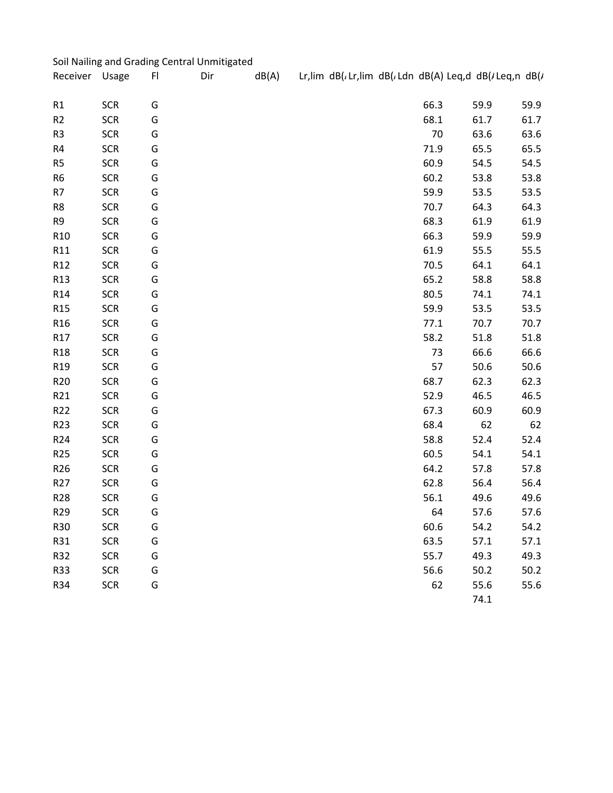|                 |            |    | Soil Nailing and Grading Central Unmitigated |       |  |      |                                                         |      |
|-----------------|------------|----|----------------------------------------------|-------|--|------|---------------------------------------------------------|------|
| Receiver Usage  |            | FI | Dir                                          | dB(A) |  |      | Lr,lim dB(, Lr,lim dB(, Ldn dB(A) Leq,d dB(, Leq,n dB(, |      |
|                 |            |    |                                              |       |  |      |                                                         |      |
| R1              | <b>SCR</b> | G  |                                              |       |  | 66.3 | 59.9                                                    | 59.9 |
| R2              | <b>SCR</b> | G  |                                              |       |  | 68.1 | 61.7                                                    | 61.7 |
| R <sub>3</sub>  | <b>SCR</b> | G  |                                              |       |  | 70   | 63.6                                                    | 63.6 |
| R4              | <b>SCR</b> | G  |                                              |       |  | 71.9 | 65.5                                                    | 65.5 |
| R <sub>5</sub>  | <b>SCR</b> | G  |                                              |       |  | 60.9 | 54.5                                                    | 54.5 |
| R <sub>6</sub>  | <b>SCR</b> | G  |                                              |       |  | 60.2 | 53.8                                                    | 53.8 |
| R7              | <b>SCR</b> | G  |                                              |       |  | 59.9 | 53.5                                                    | 53.5 |
| R8              | <b>SCR</b> | G  |                                              |       |  | 70.7 | 64.3                                                    | 64.3 |
| R9              | <b>SCR</b> | G  |                                              |       |  | 68.3 | 61.9                                                    | 61.9 |
| R <sub>10</sub> | <b>SCR</b> | G  |                                              |       |  | 66.3 | 59.9                                                    | 59.9 |
| R11             | <b>SCR</b> | G  |                                              |       |  | 61.9 | 55.5                                                    | 55.5 |
| R <sub>12</sub> | <b>SCR</b> | G  |                                              |       |  | 70.5 | 64.1                                                    | 64.1 |
| R <sub>13</sub> | <b>SCR</b> | G  |                                              |       |  | 65.2 | 58.8                                                    | 58.8 |
| R14             | <b>SCR</b> | G  |                                              |       |  | 80.5 | 74.1                                                    | 74.1 |
| R <sub>15</sub> | <b>SCR</b> | G  |                                              |       |  | 59.9 | 53.5                                                    | 53.5 |
| R <sub>16</sub> | <b>SCR</b> | G  |                                              |       |  | 77.1 | 70.7                                                    | 70.7 |
| R17             | <b>SCR</b> | G  |                                              |       |  | 58.2 | 51.8                                                    | 51.8 |
| <b>R18</b>      | <b>SCR</b> | G  |                                              |       |  | 73   | 66.6                                                    | 66.6 |
| R19             | <b>SCR</b> | G  |                                              |       |  | 57   | 50.6                                                    | 50.6 |
| R <sub>20</sub> | <b>SCR</b> | G  |                                              |       |  | 68.7 | 62.3                                                    | 62.3 |
| R21             | <b>SCR</b> | G  |                                              |       |  | 52.9 | 46.5                                                    | 46.5 |
| R22             | <b>SCR</b> | G  |                                              |       |  | 67.3 | 60.9                                                    | 60.9 |
| R <sub>23</sub> | <b>SCR</b> | G  |                                              |       |  | 68.4 | 62                                                      | 62   |
| R <sub>24</sub> | <b>SCR</b> | G  |                                              |       |  | 58.8 | 52.4                                                    | 52.4 |
| R <sub>25</sub> | <b>SCR</b> | G  |                                              |       |  | 60.5 | 54.1                                                    | 54.1 |
| R <sub>26</sub> | <b>SCR</b> | G  |                                              |       |  | 64.2 | 57.8                                                    | 57.8 |
| R <sub>27</sub> | <b>SCR</b> | G  |                                              |       |  | 62.8 | 56.4                                                    | 56.4 |
| R <sub>28</sub> | <b>SCR</b> | G  |                                              |       |  | 56.1 | 49.6                                                    | 49.6 |
| R <sub>29</sub> | <b>SCR</b> | G  |                                              |       |  | 64   | 57.6                                                    | 57.6 |
| R30             | <b>SCR</b> | G  |                                              |       |  | 60.6 | 54.2                                                    | 54.2 |
| R31             | <b>SCR</b> | G  |                                              |       |  | 63.5 | 57.1                                                    | 57.1 |
| R32             | <b>SCR</b> | G  |                                              |       |  | 55.7 | 49.3                                                    | 49.3 |
| <b>R33</b>      | <b>SCR</b> | G  |                                              |       |  | 56.6 | 50.2                                                    | 50.2 |
| R34             | <b>SCR</b> | G  |                                              |       |  | 62   | 55.6                                                    | 55.6 |
|                 |            |    |                                              |       |  |      | 74.1                                                    |      |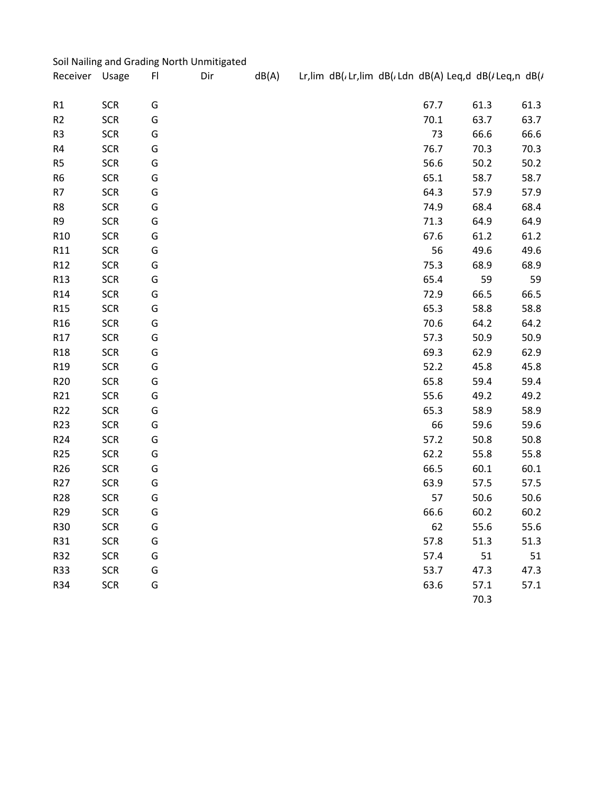|                 |            |   | Soil Nailing and Grading North Unmitigated |       |  |      |                                                         |      |
|-----------------|------------|---|--------------------------------------------|-------|--|------|---------------------------------------------------------|------|
| Receiver Usage  |            | F | Dir                                        | dB(A) |  |      | Lr,lim dB(, Lr,lim dB(, Ldn dB(A) Leq,d dB(, Leq,n dB(, |      |
|                 |            |   |                                            |       |  |      |                                                         |      |
| R1              | <b>SCR</b> | G |                                            |       |  | 67.7 | 61.3                                                    | 61.3 |
| R2              | <b>SCR</b> | G |                                            |       |  | 70.1 | 63.7                                                    | 63.7 |
| R <sub>3</sub>  | <b>SCR</b> | G |                                            |       |  | 73   | 66.6                                                    | 66.6 |
| R4              | <b>SCR</b> | G |                                            |       |  | 76.7 | 70.3                                                    | 70.3 |
| R <sub>5</sub>  | <b>SCR</b> | G |                                            |       |  | 56.6 | 50.2                                                    | 50.2 |
| R <sub>6</sub>  | <b>SCR</b> | G |                                            |       |  | 65.1 | 58.7                                                    | 58.7 |
| R7              | <b>SCR</b> | G |                                            |       |  | 64.3 | 57.9                                                    | 57.9 |
| R8              | <b>SCR</b> | G |                                            |       |  | 74.9 | 68.4                                                    | 68.4 |
| R9              | <b>SCR</b> | G |                                            |       |  | 71.3 | 64.9                                                    | 64.9 |
| R <sub>10</sub> | <b>SCR</b> | G |                                            |       |  | 67.6 | 61.2                                                    | 61.2 |
| R11             | <b>SCR</b> | G |                                            |       |  | 56   | 49.6                                                    | 49.6 |
| R <sub>12</sub> | <b>SCR</b> | G |                                            |       |  | 75.3 | 68.9                                                    | 68.9 |
| R <sub>13</sub> | <b>SCR</b> | G |                                            |       |  | 65.4 | 59                                                      | 59   |
| R <sub>14</sub> | <b>SCR</b> | G |                                            |       |  | 72.9 | 66.5                                                    | 66.5 |
| R <sub>15</sub> | <b>SCR</b> | G |                                            |       |  | 65.3 | 58.8                                                    | 58.8 |
| R <sub>16</sub> | <b>SCR</b> | G |                                            |       |  | 70.6 | 64.2                                                    | 64.2 |
| R17             | <b>SCR</b> | G |                                            |       |  | 57.3 | 50.9                                                    | 50.9 |
| R <sub>18</sub> | <b>SCR</b> | G |                                            |       |  | 69.3 | 62.9                                                    | 62.9 |
| R <sub>19</sub> | <b>SCR</b> | G |                                            |       |  | 52.2 | 45.8                                                    | 45.8 |
| R <sub>20</sub> | <b>SCR</b> | G |                                            |       |  | 65.8 | 59.4                                                    | 59.4 |
| R21             | <b>SCR</b> | G |                                            |       |  | 55.6 | 49.2                                                    | 49.2 |
| R <sub>22</sub> | <b>SCR</b> | G |                                            |       |  | 65.3 | 58.9                                                    | 58.9 |
| R <sub>23</sub> | <b>SCR</b> | G |                                            |       |  | 66   | 59.6                                                    | 59.6 |
| R <sub>24</sub> | <b>SCR</b> | G |                                            |       |  | 57.2 | 50.8                                                    | 50.8 |
| R <sub>25</sub> | <b>SCR</b> | G |                                            |       |  | 62.2 | 55.8                                                    | 55.8 |
| R <sub>26</sub> | <b>SCR</b> | G |                                            |       |  | 66.5 | 60.1                                                    | 60.1 |
| R <sub>27</sub> | <b>SCR</b> | G |                                            |       |  | 63.9 | 57.5                                                    | 57.5 |
| R <sub>28</sub> | <b>SCR</b> | G |                                            |       |  | 57   | 50.6                                                    | 50.6 |
| R <sub>29</sub> | <b>SCR</b> | G |                                            |       |  | 66.6 | 60.2                                                    | 60.2 |
| R30             | <b>SCR</b> | G |                                            |       |  | 62   | 55.6                                                    | 55.6 |
| R31             | <b>SCR</b> | G |                                            |       |  | 57.8 | 51.3                                                    | 51.3 |
| R32             | <b>SCR</b> | G |                                            |       |  | 57.4 | 51                                                      | 51   |
| <b>R33</b>      | <b>SCR</b> | G |                                            |       |  | 53.7 | 47.3                                                    | 47.3 |
| R34             | <b>SCR</b> | G |                                            |       |  | 63.6 | 57.1                                                    | 57.1 |
|                 |            |   |                                            |       |  |      | 70.3                                                    |      |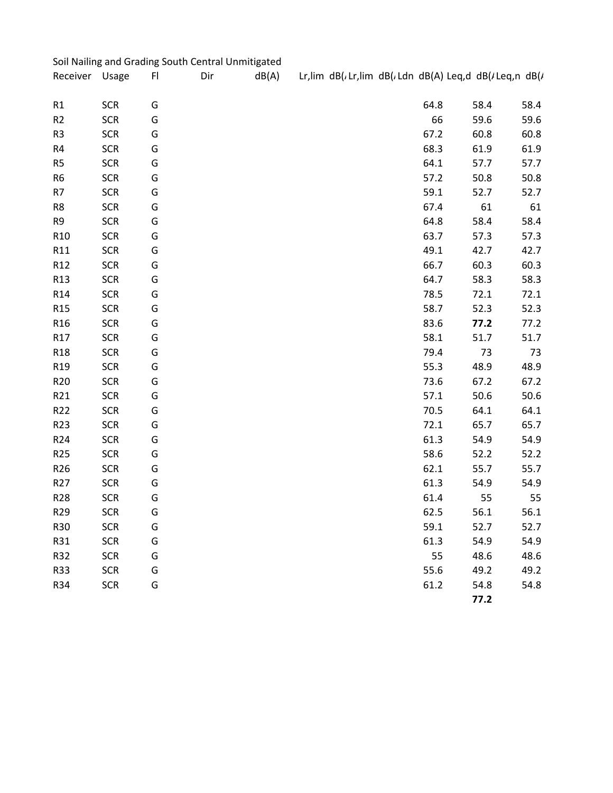|                 |            |   | Soil Nailing and Grading South Central Unmitigated |       |  |      |                                                        |      |
|-----------------|------------|---|----------------------------------------------------|-------|--|------|--------------------------------------------------------|------|
| Receiver Usage  |            | F | Dir                                                | dB(A) |  |      | Lr,lim dB(, Lr,lim dB(, Ldn dB(A) Leq,d dB(/Leq,n dB(/ |      |
|                 |            |   |                                                    |       |  |      |                                                        |      |
| R1              | <b>SCR</b> | G |                                                    |       |  | 64.8 | 58.4                                                   | 58.4 |
| R2              | <b>SCR</b> | G |                                                    |       |  | 66   | 59.6                                                   | 59.6 |
| R <sub>3</sub>  | <b>SCR</b> | G |                                                    |       |  | 67.2 | 60.8                                                   | 60.8 |
| R4              | <b>SCR</b> | G |                                                    |       |  | 68.3 | 61.9                                                   | 61.9 |
| R <sub>5</sub>  | <b>SCR</b> | G |                                                    |       |  | 64.1 | 57.7                                                   | 57.7 |
| R <sub>6</sub>  | <b>SCR</b> | G |                                                    |       |  | 57.2 | 50.8                                                   | 50.8 |
| R7              | <b>SCR</b> | G |                                                    |       |  | 59.1 | 52.7                                                   | 52.7 |
| R8              | <b>SCR</b> | G |                                                    |       |  | 67.4 | 61                                                     | 61   |
| R9              | <b>SCR</b> | G |                                                    |       |  | 64.8 | 58.4                                                   | 58.4 |
| R <sub>10</sub> | <b>SCR</b> | G |                                                    |       |  | 63.7 | 57.3                                                   | 57.3 |
| R11             | <b>SCR</b> | G |                                                    |       |  | 49.1 | 42.7                                                   | 42.7 |
| R <sub>12</sub> | <b>SCR</b> | G |                                                    |       |  | 66.7 | 60.3                                                   | 60.3 |
| R <sub>13</sub> | <b>SCR</b> | G |                                                    |       |  | 64.7 | 58.3                                                   | 58.3 |
| R <sub>14</sub> | <b>SCR</b> | G |                                                    |       |  | 78.5 | 72.1                                                   | 72.1 |
| R <sub>15</sub> | <b>SCR</b> | G |                                                    |       |  | 58.7 | 52.3                                                   | 52.3 |
| R <sub>16</sub> | <b>SCR</b> | G |                                                    |       |  | 83.6 | 77.2                                                   | 77.2 |
| R17             | <b>SCR</b> | G |                                                    |       |  | 58.1 | 51.7                                                   | 51.7 |
| R <sub>18</sub> | <b>SCR</b> | G |                                                    |       |  | 79.4 | 73                                                     | 73   |
| R <sub>19</sub> | <b>SCR</b> | G |                                                    |       |  | 55.3 | 48.9                                                   | 48.9 |
| R <sub>20</sub> | <b>SCR</b> | G |                                                    |       |  | 73.6 | 67.2                                                   | 67.2 |
| R21             | <b>SCR</b> | G |                                                    |       |  | 57.1 | 50.6                                                   | 50.6 |
| R <sub>22</sub> | <b>SCR</b> | G |                                                    |       |  | 70.5 | 64.1                                                   | 64.1 |
| R <sub>23</sub> | <b>SCR</b> | G |                                                    |       |  | 72.1 | 65.7                                                   | 65.7 |
| R <sub>24</sub> | <b>SCR</b> | G |                                                    |       |  | 61.3 | 54.9                                                   | 54.9 |
| R <sub>25</sub> | <b>SCR</b> | G |                                                    |       |  | 58.6 | 52.2                                                   | 52.2 |
| R <sub>26</sub> | <b>SCR</b> | G |                                                    |       |  | 62.1 | 55.7                                                   | 55.7 |
| R <sub>27</sub> | <b>SCR</b> | G |                                                    |       |  | 61.3 | 54.9                                                   | 54.9 |
| R <sub>28</sub> | <b>SCR</b> | G |                                                    |       |  | 61.4 | 55                                                     | 55   |
| R <sub>29</sub> | <b>SCR</b> | G |                                                    |       |  | 62.5 | 56.1                                                   | 56.1 |
| R30             | <b>SCR</b> | G |                                                    |       |  | 59.1 | 52.7                                                   | 52.7 |
| R31             | <b>SCR</b> | G |                                                    |       |  | 61.3 | 54.9                                                   | 54.9 |
| R32             | <b>SCR</b> | G |                                                    |       |  | 55   | 48.6                                                   | 48.6 |
| <b>R33</b>      | <b>SCR</b> | G |                                                    |       |  | 55.6 | 49.2                                                   | 49.2 |
| R34             | <b>SCR</b> | G |                                                    |       |  | 61.2 | 54.8                                                   | 54.8 |
|                 |            |   |                                                    |       |  |      | 77.2                                                   |      |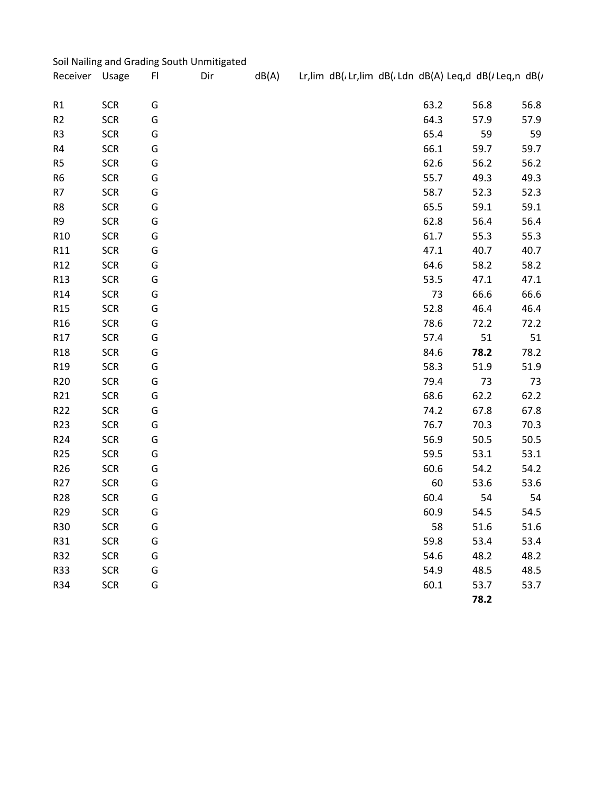|                 |            |   | Soil Nailing and Grading South Unmitigated |       |  |      |                                                         |      |
|-----------------|------------|---|--------------------------------------------|-------|--|------|---------------------------------------------------------|------|
| Receiver Usage  |            | F | Dir                                        | dB(A) |  |      | Lr,lim dB(, Lr,lim dB(, Ldn dB(A) Leq,d dB(, Leq,n dB(, |      |
|                 |            |   |                                            |       |  |      |                                                         |      |
| R1              | <b>SCR</b> | G |                                            |       |  | 63.2 | 56.8                                                    | 56.8 |
| R2              | <b>SCR</b> | G |                                            |       |  | 64.3 | 57.9                                                    | 57.9 |
| R <sub>3</sub>  | <b>SCR</b> | G |                                            |       |  | 65.4 | 59                                                      | 59   |
| R4              | <b>SCR</b> | G |                                            |       |  | 66.1 | 59.7                                                    | 59.7 |
| R <sub>5</sub>  | <b>SCR</b> | G |                                            |       |  | 62.6 | 56.2                                                    | 56.2 |
| R <sub>6</sub>  | <b>SCR</b> | G |                                            |       |  | 55.7 | 49.3                                                    | 49.3 |
| R7              | <b>SCR</b> | G |                                            |       |  | 58.7 | 52.3                                                    | 52.3 |
| R8              | <b>SCR</b> | G |                                            |       |  | 65.5 | 59.1                                                    | 59.1 |
| R9              | <b>SCR</b> | G |                                            |       |  | 62.8 | 56.4                                                    | 56.4 |
| R <sub>10</sub> | <b>SCR</b> | G |                                            |       |  | 61.7 | 55.3                                                    | 55.3 |
| R11             | <b>SCR</b> | G |                                            |       |  | 47.1 | 40.7                                                    | 40.7 |
| R <sub>12</sub> | <b>SCR</b> | G |                                            |       |  | 64.6 | 58.2                                                    | 58.2 |
| R <sub>13</sub> | <b>SCR</b> | G |                                            |       |  | 53.5 | 47.1                                                    | 47.1 |
| R <sub>14</sub> | <b>SCR</b> | G |                                            |       |  | 73   | 66.6                                                    | 66.6 |
| R <sub>15</sub> | <b>SCR</b> | G |                                            |       |  | 52.8 | 46.4                                                    | 46.4 |
| R <sub>16</sub> | <b>SCR</b> | G |                                            |       |  | 78.6 | 72.2                                                    | 72.2 |
| R17             | <b>SCR</b> | G |                                            |       |  | 57.4 | 51                                                      | 51   |
| R <sub>18</sub> | <b>SCR</b> | G |                                            |       |  | 84.6 | 78.2                                                    | 78.2 |
| R <sub>19</sub> | <b>SCR</b> | G |                                            |       |  | 58.3 | 51.9                                                    | 51.9 |
| R <sub>20</sub> | <b>SCR</b> | G |                                            |       |  | 79.4 | 73                                                      | 73   |
| R21             | <b>SCR</b> | G |                                            |       |  | 68.6 | 62.2                                                    | 62.2 |
| R <sub>22</sub> | <b>SCR</b> | G |                                            |       |  | 74.2 | 67.8                                                    | 67.8 |
| R <sub>23</sub> | <b>SCR</b> | G |                                            |       |  | 76.7 | 70.3                                                    | 70.3 |
| R <sub>24</sub> | <b>SCR</b> | G |                                            |       |  | 56.9 | 50.5                                                    | 50.5 |
| R <sub>25</sub> | <b>SCR</b> | G |                                            |       |  | 59.5 | 53.1                                                    | 53.1 |
| R <sub>26</sub> | <b>SCR</b> | G |                                            |       |  | 60.6 | 54.2                                                    | 54.2 |
| R <sub>27</sub> | <b>SCR</b> | G |                                            |       |  | 60   | 53.6                                                    | 53.6 |
| R <sub>28</sub> | <b>SCR</b> | G |                                            |       |  | 60.4 | 54                                                      | 54   |
| R <sub>29</sub> | <b>SCR</b> | G |                                            |       |  | 60.9 | 54.5                                                    | 54.5 |
| R30             | <b>SCR</b> | G |                                            |       |  | 58   | 51.6                                                    | 51.6 |
| R31             | <b>SCR</b> | G |                                            |       |  | 59.8 | 53.4                                                    | 53.4 |
| R32             | <b>SCR</b> | G |                                            |       |  | 54.6 | 48.2                                                    | 48.2 |
| <b>R33</b>      | <b>SCR</b> | G |                                            |       |  | 54.9 | 48.5                                                    | 48.5 |
| R34             | <b>SCR</b> | G |                                            |       |  | 60.1 | 53.7                                                    | 53.7 |
|                 |            |   |                                            |       |  |      | 78.2                                                    |      |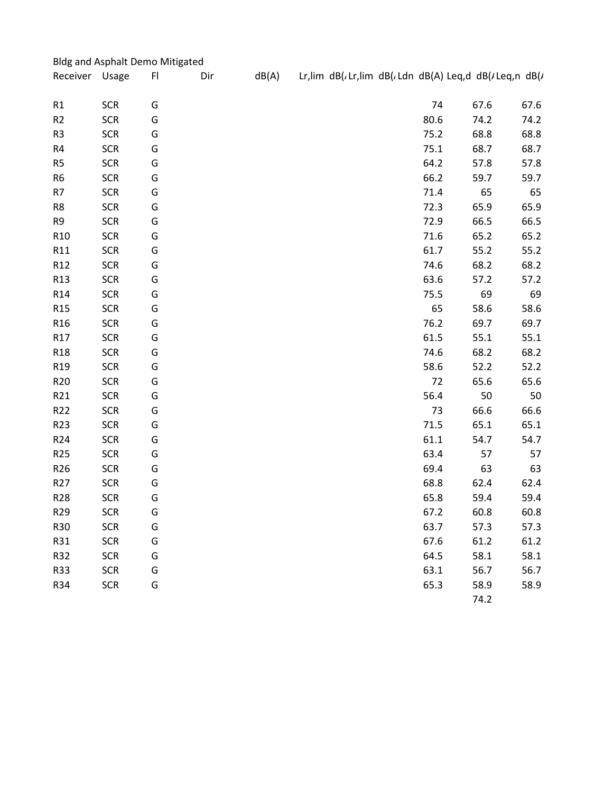|                 |            | <b>Bldg and Asphalt Demo Mitigated</b> |     |       |  |      |                                                         |      |
|-----------------|------------|----------------------------------------|-----|-------|--|------|---------------------------------------------------------|------|
| Receiver Usage  |            | F <sub>l</sub>                         | Dir | dB(A) |  |      | Lr,lim dB(, Lr,lim dB(, Ldn dB(A) Leq,d dB(, Leq,n dB(, |      |
|                 |            |                                        |     |       |  |      |                                                         |      |
| R1              | <b>SCR</b> | G                                      |     |       |  | 74   | 67.6                                                    | 67.6 |
| R2              | <b>SCR</b> | G                                      |     |       |  | 80.6 | 74.2                                                    | 74.2 |
| R <sub>3</sub>  | <b>SCR</b> | G                                      |     |       |  | 75.2 | 68.8                                                    | 68.8 |
| R4              | <b>SCR</b> | G                                      |     |       |  | 75.1 | 68.7                                                    | 68.7 |
| R <sub>5</sub>  | <b>SCR</b> | G                                      |     |       |  | 64.2 | 57.8                                                    | 57.8 |
| R <sub>6</sub>  | <b>SCR</b> | G                                      |     |       |  | 66.2 | 59.7                                                    | 59.7 |
| R7              | <b>SCR</b> | G                                      |     |       |  | 71.4 | 65                                                      | 65   |
| R8              | <b>SCR</b> | G                                      |     |       |  | 72.3 | 65.9                                                    | 65.9 |
| R9              | <b>SCR</b> | G                                      |     |       |  | 72.9 | 66.5                                                    | 66.5 |
| R <sub>10</sub> | <b>SCR</b> | G                                      |     |       |  | 71.6 | 65.2                                                    | 65.2 |
| R11             | <b>SCR</b> | G                                      |     |       |  | 61.7 | 55.2                                                    | 55.2 |
| R <sub>12</sub> | <b>SCR</b> | G                                      |     |       |  | 74.6 | 68.2                                                    | 68.2 |
| R <sub>13</sub> | <b>SCR</b> | G                                      |     |       |  | 63.6 | 57.2                                                    | 57.2 |
| R <sub>14</sub> | <b>SCR</b> | G                                      |     |       |  | 75.5 | 69                                                      | 69   |
| R <sub>15</sub> | <b>SCR</b> | G                                      |     |       |  | 65   | 58.6                                                    | 58.6 |
| R <sub>16</sub> | <b>SCR</b> | G                                      |     |       |  | 76.2 | 69.7                                                    | 69.7 |
| R17             | <b>SCR</b> | G                                      |     |       |  | 61.5 | 55.1                                                    | 55.1 |
| R <sub>18</sub> | <b>SCR</b> | G                                      |     |       |  | 74.6 | 68.2                                                    | 68.2 |
| R <sub>19</sub> | <b>SCR</b> | G                                      |     |       |  | 58.6 | 52.2                                                    | 52.2 |
| R <sub>20</sub> | <b>SCR</b> | G                                      |     |       |  | 72   | 65.6                                                    | 65.6 |
| R21             | <b>SCR</b> | G                                      |     |       |  | 56.4 | 50                                                      | 50   |
| R22             | <b>SCR</b> | G                                      |     |       |  | 73   | 66.6                                                    | 66.6 |
| R <sub>23</sub> | <b>SCR</b> | G                                      |     |       |  | 71.5 | 65.1                                                    | 65.1 |
| R <sub>24</sub> | <b>SCR</b> | G                                      |     |       |  | 61.1 | 54.7                                                    | 54.7 |
| R <sub>25</sub> | <b>SCR</b> | G                                      |     |       |  | 63.4 | 57                                                      | 57   |
| R <sub>26</sub> | <b>SCR</b> | G                                      |     |       |  | 69.4 | 63                                                      | 63   |
| R <sub>27</sub> | <b>SCR</b> | G                                      |     |       |  | 68.8 | 62.4                                                    | 62.4 |
| R <sub>28</sub> | <b>SCR</b> | G                                      |     |       |  | 65.8 | 59.4                                                    | 59.4 |
| R <sub>29</sub> | <b>SCR</b> | G                                      |     |       |  | 67.2 | 60.8                                                    | 60.8 |
| R30             | <b>SCR</b> | G                                      |     |       |  | 63.7 | 57.3                                                    | 57.3 |
| R31             | <b>SCR</b> | G                                      |     |       |  | 67.6 | 61.2                                                    | 61.2 |
| R32             | <b>SCR</b> | G                                      |     |       |  | 64.5 | 58.1                                                    | 58.1 |
| <b>R33</b>      | <b>SCR</b> | G                                      |     |       |  | 63.1 | 56.7                                                    | 56.7 |
| R34             | <b>SCR</b> | G                                      |     |       |  | 65.3 | 58.9                                                    | 58.9 |
|                 |            |                                        |     |       |  |      | 74.2                                                    |      |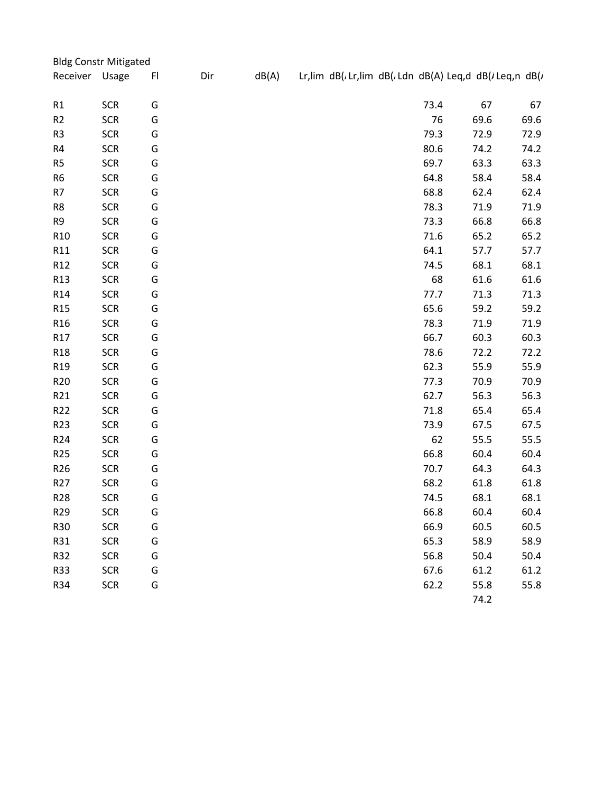|                 | <b>Bldg Constr Mitigated</b> |    |     |       |  |      |                                                         |      |
|-----------------|------------------------------|----|-----|-------|--|------|---------------------------------------------------------|------|
| Receiver Usage  |                              | FI | Dir | dB(A) |  |      | Lr,lim dB(, Lr,lim dB(, Ldn dB(A) Leq,d dB(, Leq,n dB(, |      |
|                 |                              |    |     |       |  |      |                                                         |      |
| R1              | <b>SCR</b>                   | G  |     |       |  | 73.4 | 67                                                      | 67   |
| R <sub>2</sub>  | <b>SCR</b>                   | G  |     |       |  | 76   | 69.6                                                    | 69.6 |
| R <sub>3</sub>  | <b>SCR</b>                   | G  |     |       |  | 79.3 | 72.9                                                    | 72.9 |
| R4              | <b>SCR</b>                   | G  |     |       |  | 80.6 | 74.2                                                    | 74.2 |
| R <sub>5</sub>  | <b>SCR</b>                   | G  |     |       |  | 69.7 | 63.3                                                    | 63.3 |
| R <sub>6</sub>  | <b>SCR</b>                   | G  |     |       |  | 64.8 | 58.4                                                    | 58.4 |
| R7              | <b>SCR</b>                   | G  |     |       |  | 68.8 | 62.4                                                    | 62.4 |
| R8              | <b>SCR</b>                   | G  |     |       |  | 78.3 | 71.9                                                    | 71.9 |
| R9              | <b>SCR</b>                   | G  |     |       |  | 73.3 | 66.8                                                    | 66.8 |
| R <sub>10</sub> | <b>SCR</b>                   | G  |     |       |  | 71.6 | 65.2                                                    | 65.2 |
| R11             | <b>SCR</b>                   | G  |     |       |  | 64.1 | 57.7                                                    | 57.7 |
| R <sub>12</sub> | <b>SCR</b>                   | G  |     |       |  | 74.5 | 68.1                                                    | 68.1 |
| R <sub>13</sub> | <b>SCR</b>                   | G  |     |       |  | 68   | 61.6                                                    | 61.6 |
| R <sub>14</sub> | <b>SCR</b>                   | G  |     |       |  | 77.7 | 71.3                                                    | 71.3 |
| R <sub>15</sub> | <b>SCR</b>                   | G  |     |       |  | 65.6 | 59.2                                                    | 59.2 |
| R <sub>16</sub> | <b>SCR</b>                   | G  |     |       |  | 78.3 | 71.9                                                    | 71.9 |
| R17             | <b>SCR</b>                   | G  |     |       |  | 66.7 | 60.3                                                    | 60.3 |
| R <sub>18</sub> | <b>SCR</b>                   | G  |     |       |  | 78.6 | 72.2                                                    | 72.2 |
| R <sub>19</sub> | <b>SCR</b>                   | G  |     |       |  | 62.3 | 55.9                                                    | 55.9 |
| R <sub>20</sub> | <b>SCR</b>                   | G  |     |       |  | 77.3 | 70.9                                                    | 70.9 |
| R21             | <b>SCR</b>                   | G  |     |       |  | 62.7 | 56.3                                                    | 56.3 |
| R22             | <b>SCR</b>                   | G  |     |       |  | 71.8 | 65.4                                                    | 65.4 |
| R23             | <b>SCR</b>                   | G  |     |       |  | 73.9 | 67.5                                                    | 67.5 |
| R <sub>24</sub> | <b>SCR</b>                   | G  |     |       |  | 62   | 55.5                                                    | 55.5 |
| R <sub>25</sub> | <b>SCR</b>                   | G  |     |       |  | 66.8 | 60.4                                                    | 60.4 |
| R <sub>26</sub> | <b>SCR</b>                   | G  |     |       |  | 70.7 | 64.3                                                    | 64.3 |
| R <sub>27</sub> | <b>SCR</b>                   | G  |     |       |  | 68.2 | 61.8                                                    | 61.8 |
| R <sub>28</sub> | <b>SCR</b>                   | G  |     |       |  | 74.5 | 68.1                                                    | 68.1 |
| R <sub>29</sub> | <b>SCR</b>                   | G  |     |       |  | 66.8 | 60.4                                                    | 60.4 |
| R30             | <b>SCR</b>                   | G  |     |       |  | 66.9 | 60.5                                                    | 60.5 |
| R31             | <b>SCR</b>                   | G  |     |       |  | 65.3 | 58.9                                                    | 58.9 |
| R32             | <b>SCR</b>                   | G  |     |       |  | 56.8 | 50.4                                                    | 50.4 |
| <b>R33</b>      | <b>SCR</b>                   | G  |     |       |  | 67.6 | 61.2                                                    | 61.2 |
| R34             | <b>SCR</b>                   | G  |     |       |  | 62.2 | 55.8                                                    | 55.8 |
|                 |                              |    |     |       |  |      | 74.2                                                    |      |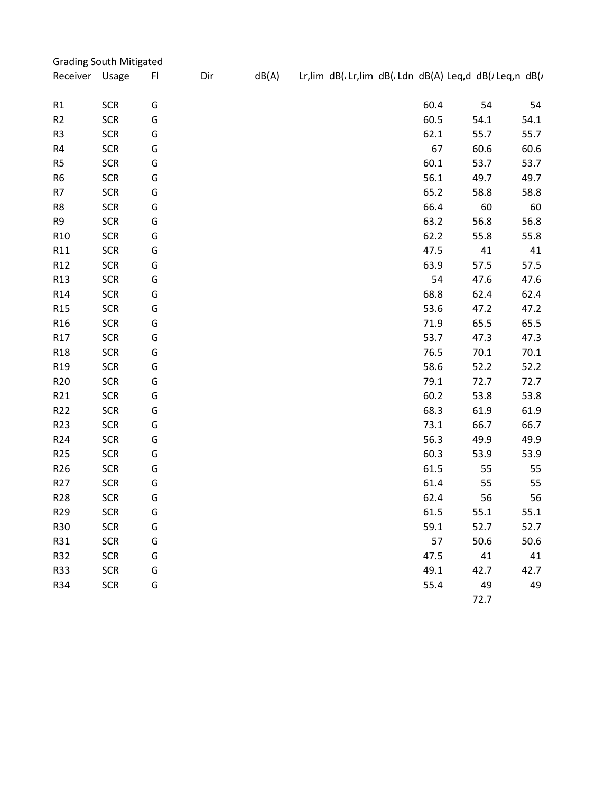|                 | <b>Grading South Mitigated</b> |    |     |       |                                                        |      |      |      |
|-----------------|--------------------------------|----|-----|-------|--------------------------------------------------------|------|------|------|
| Receiver Usage  |                                | FI | Dir | dB(A) | Lr,lim dB(, Lr,lim dB(, Ldn dB(A) Leq,d dB(/Leq,n dB(/ |      |      |      |
| R1              | <b>SCR</b>                     | G  |     |       |                                                        | 60.4 | 54   | 54   |
| R2              | <b>SCR</b>                     | G  |     |       |                                                        | 60.5 | 54.1 | 54.1 |
| R <sub>3</sub>  | <b>SCR</b>                     | G  |     |       |                                                        | 62.1 | 55.7 | 55.7 |
| R4              | <b>SCR</b>                     | G  |     |       |                                                        | 67   | 60.6 | 60.6 |
| R <sub>5</sub>  | <b>SCR</b>                     | G  |     |       |                                                        | 60.1 | 53.7 | 53.7 |
| R <sub>6</sub>  | <b>SCR</b>                     | G  |     |       |                                                        | 56.1 | 49.7 | 49.7 |
| R7              | <b>SCR</b>                     | G  |     |       |                                                        | 65.2 | 58.8 | 58.8 |
| R8              | <b>SCR</b>                     | G  |     |       |                                                        | 66.4 | 60   | 60   |
| R9              | <b>SCR</b>                     | G  |     |       |                                                        | 63.2 | 56.8 | 56.8 |
| R <sub>10</sub> | <b>SCR</b>                     | G  |     |       |                                                        | 62.2 | 55.8 | 55.8 |
| R11             | <b>SCR</b>                     | G  |     |       |                                                        | 47.5 | 41   | 41   |
| R <sub>12</sub> | <b>SCR</b>                     | G  |     |       |                                                        | 63.9 | 57.5 | 57.5 |
| R <sub>13</sub> | <b>SCR</b>                     | G  |     |       |                                                        | 54   | 47.6 | 47.6 |
| R <sub>14</sub> | <b>SCR</b>                     | G  |     |       |                                                        | 68.8 | 62.4 | 62.4 |
| R <sub>15</sub> | <b>SCR</b>                     | G  |     |       |                                                        | 53.6 | 47.2 | 47.2 |
| R <sub>16</sub> | <b>SCR</b>                     | G  |     |       |                                                        | 71.9 | 65.5 | 65.5 |
| R17             | <b>SCR</b>                     | G  |     |       |                                                        | 53.7 | 47.3 | 47.3 |
| R <sub>18</sub> | <b>SCR</b>                     | G  |     |       |                                                        | 76.5 | 70.1 | 70.1 |
| R <sub>19</sub> | <b>SCR</b>                     | G  |     |       |                                                        | 58.6 | 52.2 | 52.2 |
| R <sub>20</sub> | <b>SCR</b>                     | G  |     |       |                                                        | 79.1 | 72.7 | 72.7 |
| R21             | <b>SCR</b>                     | G  |     |       |                                                        | 60.2 | 53.8 | 53.8 |
| R <sub>22</sub> | <b>SCR</b>                     | G  |     |       |                                                        | 68.3 | 61.9 | 61.9 |
| R <sub>23</sub> | <b>SCR</b>                     | G  |     |       |                                                        | 73.1 | 66.7 | 66.7 |
| R <sub>24</sub> | <b>SCR</b>                     | G  |     |       |                                                        | 56.3 | 49.9 | 49.9 |
| R <sub>25</sub> | <b>SCR</b>                     | G  |     |       |                                                        | 60.3 | 53.9 | 53.9 |
| R <sub>26</sub> | <b>SCR</b>                     | G  |     |       |                                                        | 61.5 | 55   | 55   |
| R <sub>27</sub> | <b>SCR</b>                     | G  |     |       |                                                        | 61.4 | 55   | 55   |
| R <sub>28</sub> | <b>SCR</b>                     | G  |     |       |                                                        | 62.4 | 56   | 56   |
| R <sub>29</sub> | <b>SCR</b>                     | G  |     |       |                                                        | 61.5 | 55.1 | 55.1 |
| <b>R30</b>      | <b>SCR</b>                     | G  |     |       |                                                        | 59.1 | 52.7 | 52.7 |
| R31             | <b>SCR</b>                     | G  |     |       |                                                        | 57   | 50.6 | 50.6 |
| R32             | <b>SCR</b>                     | G  |     |       |                                                        | 47.5 | 41   | 41   |
| <b>R33</b>      | <b>SCR</b>                     | G  |     |       |                                                        | 49.1 | 42.7 | 42.7 |
| R34             | <b>SCR</b>                     | G  |     |       |                                                        | 55.4 | 49   | 49   |
|                 |                                |    |     |       |                                                        |      | 72.7 |      |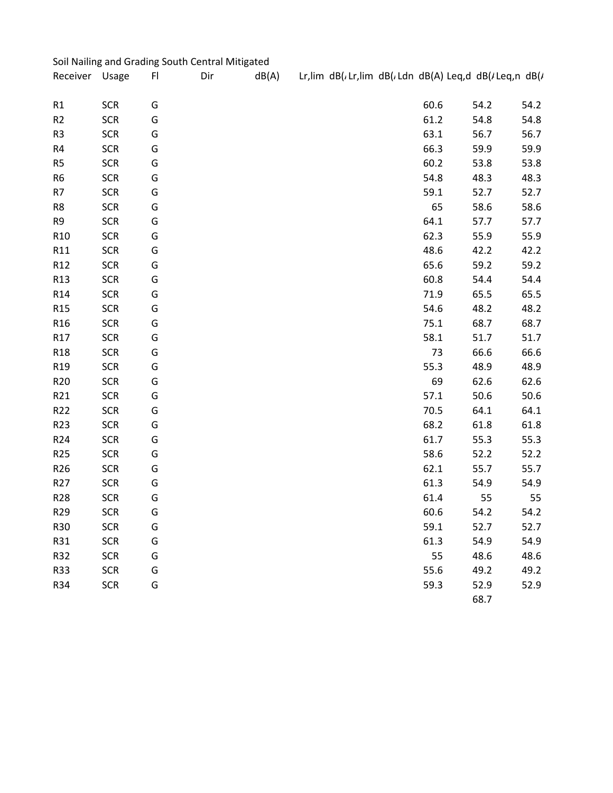|                 |            |   | Soil Nailing and Grading South Central Mitigated |       |  |      |                                                        |      |
|-----------------|------------|---|--------------------------------------------------|-------|--|------|--------------------------------------------------------|------|
| Receiver Usage  |            | F | Dir                                              | dB(A) |  |      | Lr,lim dB(, Lr,lim dB(, Ldn dB(A) Leq,d dB(/Leq,n dB(/ |      |
|                 |            |   |                                                  |       |  |      |                                                        |      |
| R1              | <b>SCR</b> | G |                                                  |       |  | 60.6 | 54.2                                                   | 54.2 |
| R2              | <b>SCR</b> | G |                                                  |       |  | 61.2 | 54.8                                                   | 54.8 |
| R <sub>3</sub>  | <b>SCR</b> | G |                                                  |       |  | 63.1 | 56.7                                                   | 56.7 |
| R4              | <b>SCR</b> | G |                                                  |       |  | 66.3 | 59.9                                                   | 59.9 |
| R <sub>5</sub>  | <b>SCR</b> | G |                                                  |       |  | 60.2 | 53.8                                                   | 53.8 |
| R <sub>6</sub>  | <b>SCR</b> | G |                                                  |       |  | 54.8 | 48.3                                                   | 48.3 |
| R7              | <b>SCR</b> | G |                                                  |       |  | 59.1 | 52.7                                                   | 52.7 |
| R8              | <b>SCR</b> | G |                                                  |       |  | 65   | 58.6                                                   | 58.6 |
| R9              | <b>SCR</b> | G |                                                  |       |  | 64.1 | 57.7                                                   | 57.7 |
| R <sub>10</sub> | <b>SCR</b> | G |                                                  |       |  | 62.3 | 55.9                                                   | 55.9 |
| R11             | <b>SCR</b> | G |                                                  |       |  | 48.6 | 42.2                                                   | 42.2 |
| R <sub>12</sub> | <b>SCR</b> | G |                                                  |       |  | 65.6 | 59.2                                                   | 59.2 |
| R <sub>13</sub> | <b>SCR</b> | G |                                                  |       |  | 60.8 | 54.4                                                   | 54.4 |
| R <sub>14</sub> | <b>SCR</b> | G |                                                  |       |  | 71.9 | 65.5                                                   | 65.5 |
| R <sub>15</sub> | <b>SCR</b> | G |                                                  |       |  | 54.6 | 48.2                                                   | 48.2 |
| R <sub>16</sub> | <b>SCR</b> | G |                                                  |       |  | 75.1 | 68.7                                                   | 68.7 |
| R17             | <b>SCR</b> | G |                                                  |       |  | 58.1 | 51.7                                                   | 51.7 |
| R <sub>18</sub> | <b>SCR</b> | G |                                                  |       |  | 73   | 66.6                                                   | 66.6 |
| R <sub>19</sub> | <b>SCR</b> | G |                                                  |       |  | 55.3 | 48.9                                                   | 48.9 |
| R <sub>20</sub> | <b>SCR</b> | G |                                                  |       |  | 69   | 62.6                                                   | 62.6 |
| R21             | <b>SCR</b> | G |                                                  |       |  | 57.1 | 50.6                                                   | 50.6 |
| R <sub>22</sub> | <b>SCR</b> | G |                                                  |       |  | 70.5 | 64.1                                                   | 64.1 |
| R <sub>23</sub> | <b>SCR</b> | G |                                                  |       |  | 68.2 | 61.8                                                   | 61.8 |
| R <sub>24</sub> | <b>SCR</b> | G |                                                  |       |  | 61.7 | 55.3                                                   | 55.3 |
| R <sub>25</sub> | <b>SCR</b> | G |                                                  |       |  | 58.6 | 52.2                                                   | 52.2 |
| R <sub>26</sub> | <b>SCR</b> | G |                                                  |       |  | 62.1 | 55.7                                                   | 55.7 |
| R <sub>27</sub> | <b>SCR</b> | G |                                                  |       |  | 61.3 | 54.9                                                   | 54.9 |
| R <sub>28</sub> | <b>SCR</b> | G |                                                  |       |  | 61.4 | 55                                                     | 55   |
| R <sub>29</sub> | <b>SCR</b> | G |                                                  |       |  | 60.6 | 54.2                                                   | 54.2 |
| R30             | <b>SCR</b> | G |                                                  |       |  | 59.1 | 52.7                                                   | 52.7 |
| R31             | <b>SCR</b> | G |                                                  |       |  | 61.3 | 54.9                                                   | 54.9 |
| R32             | <b>SCR</b> | G |                                                  |       |  | 55   | 48.6                                                   | 48.6 |
| <b>R33</b>      | <b>SCR</b> | G |                                                  |       |  | 55.6 | 49.2                                                   | 49.2 |
| R34             | <b>SCR</b> | G |                                                  |       |  | 59.3 | 52.9                                                   | 52.9 |
|                 |            |   |                                                  |       |  |      | 68.7                                                   |      |